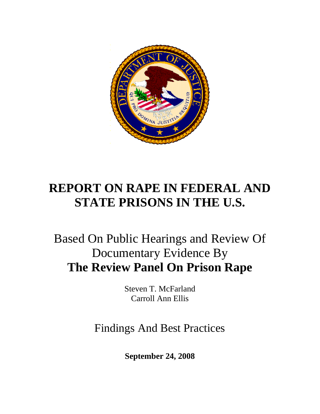

# **REPORT ON RAPE IN FEDERAL AND STATE PRISONS IN THE U.S.**

# Based On Public Hearings and Review Of Documentary Evidence By **The Review Panel On Prison Rape**

Steven T. McFarland Carroll Ann Ellis

Findings And Best Practices

**September 24, 2008**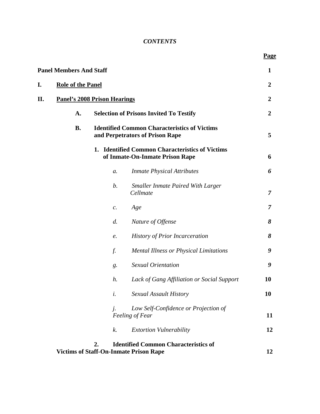# *CONTENTS*

 **Page**

|    | <b>Panel Members And Staff</b>      |                                                                                        |                                                                                              | $\mathbf{1}$     |
|----|-------------------------------------|----------------------------------------------------------------------------------------|----------------------------------------------------------------------------------------------|------------------|
| I. | <b>Role of the Panel</b>            |                                                                                        |                                                                                              |                  |
| П. | <b>Panel's 2008 Prison Hearings</b> |                                                                                        |                                                                                              | $\boldsymbol{2}$ |
|    | A.                                  |                                                                                        | <b>Selection of Prisons Invited To Testify</b>                                               | $\boldsymbol{2}$ |
|    | <b>B.</b>                           | <b>Identified Common Characteristics of Victims</b><br>and Perpetrators of Prison Rape |                                                                                              |                  |
|    |                                     |                                                                                        | 1. Identified Common Characteristics of Victims<br>of Inmate-On-Inmate Prison Rape           | 6                |
|    |                                     | a.                                                                                     | <b>Inmate Physical Attributes</b>                                                            | 6                |
|    |                                     | $\mathfrak{b}.$                                                                        | <b>Smaller Inmate Paired With Larger</b><br>Cellmate                                         | $\overline{7}$   |
|    |                                     | $\mathcal{C}.$                                                                         | Age                                                                                          | $\overline{7}$   |
|    |                                     | d.                                                                                     | Nature of Offense                                                                            | 8                |
|    |                                     | $e$ .                                                                                  | <b>History of Prior Incarceration</b>                                                        | 8                |
|    |                                     | f.                                                                                     | <b>Mental Illness or Physical Limitations</b>                                                | 9                |
|    |                                     | $g$ .                                                                                  | <b>Sexual Orientation</b>                                                                    | 9                |
|    |                                     | h.                                                                                     | Lack of Gang Affiliation or Social Support                                                   | 10               |
|    |                                     | i.                                                                                     | Sexual Assault History                                                                       | <b>10</b>        |
|    |                                     |                                                                                        | Low Self-Confidence or Projection of<br>Feeling of Fear                                      | 11               |
|    |                                     | k.                                                                                     | <b>Extortion Vulnerability</b>                                                               | 12               |
|    |                                     | 2.                                                                                     | <b>Identified Common Characteristics of</b><br><b>Victims of Staff-On-Inmate Prison Rape</b> | 12               |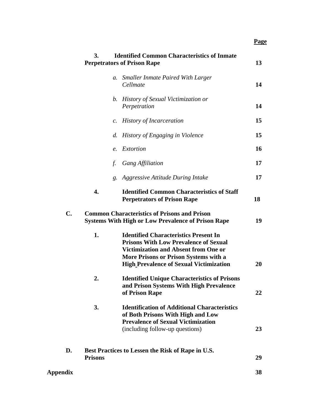**Page**

|                 | 3.             | <b>Identified Common Characteristics of Inmate</b><br><b>Perpetrators of Prison Rape</b>                                                                                                                                               | 13 |
|-----------------|----------------|----------------------------------------------------------------------------------------------------------------------------------------------------------------------------------------------------------------------------------------|----|
|                 | $a$ .          | <b>Smaller Inmate Paired With Larger</b><br>Cellmate                                                                                                                                                                                   | 14 |
|                 |                | b. History of Sexual Victimization or<br>Perpetration                                                                                                                                                                                  | 14 |
|                 |                | c. History of Incarceration                                                                                                                                                                                                            | 15 |
|                 |                | d. History of Engaging in Violence                                                                                                                                                                                                     | 15 |
|                 | e.             | Extortion                                                                                                                                                                                                                              | 16 |
|                 | f.             | <b>Gang Affiliation</b>                                                                                                                                                                                                                | 17 |
|                 |                | g. Aggressive Attitude During Intake                                                                                                                                                                                                   | 17 |
|                 | 4.             | <b>Identified Common Characteristics of Staff</b><br><b>Perpetrators of Prison Rape</b>                                                                                                                                                | 18 |
| C.              |                | <b>Common Characteristics of Prisons and Prison</b><br><b>Systems With High or Low Prevalence of Prison Rape</b>                                                                                                                       | 19 |
|                 | 1.             | <b>Identified Characteristics Present In</b><br><b>Prisons With Low Prevalence of Sexual</b><br><b>Victimization and Absent from One or</b><br>More Prisons or Prison Systems with a<br><b>High Prevalence of Sexual Victimization</b> | 20 |
|                 | 2.             | <b>Identified Unique Characteristics of Prisons</b><br>and Prison Systems With High Prevalence<br>of Prison Rape                                                                                                                       | 22 |
|                 | 3.             | <b>Identification of Additional Characteristics</b><br>of Both Prisons With High and Low<br><b>Prevalence of Sexual Victimization</b><br>(including follow-up questions)                                                               | 23 |
| D.              | <b>Prisons</b> | Best Practices to Lessen the Risk of Rape in U.S.                                                                                                                                                                                      | 29 |
| <b>Appendix</b> |                |                                                                                                                                                                                                                                        | 38 |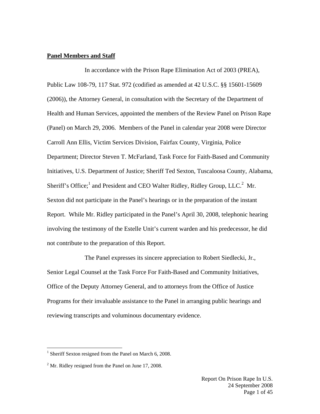#### **Panel Members and Staff**

In accordance with the Prison Rape Elimination Act of 2003 (PREA), Public Law 108-79, 117 Stat. 972 (codified as amended at 42 U.S.C. §§ 15601-15609 (2006)), the Attorney General, in consultation with the Secretary of the Department of Health and Human Services, appointed the members of the Review Panel on Prison Rape (Panel) on March 29, 2006. Members of the Panel in calendar year 2008 were Director Carroll Ann Ellis, Victim Services Division, Fairfax County, Virginia, Police Department; Director Steven T. McFarland, Task Force for Faith-Based and Community Initiatives, U.S. Department of Justice; Sheriff Ted Sexton, Tuscaloosa County, Alabama, Sheriff's Office;<sup>1</sup> and President and CEO Walter Ridley, Ridley Group, LLC.<sup>2</sup> Mr. Sexton did not participate in the Panel's hearings or in the preparation of the instant Report. While Mr. Ridley participated in the Panel's April 30, 2008, telephonic hearing involving the testimony of the Estelle Unit's current warden and his predecessor, he did not contribute to the preparation of this Report.

The Panel expresses its sincere appreciation to Robert Siedlecki, Jr., Senior Legal Counsel at the Task Force For Faith-Based and Community Initiatives, Office of the Deputy Attorney General, and to attorneys from the Office of Justice Programs for their invaluable assistance to the Panel in arranging public hearings and reviewing transcripts and voluminous documentary evidence.

<sup>&</sup>lt;sup>1</sup> Sheriff Sexton resigned from the Panel on March 6, 2008.

 $2^2$  Mr. Ridley resigned from the Panel on June 17, 2008.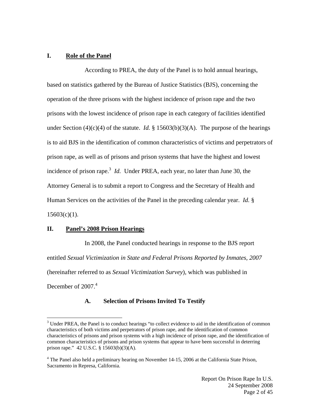## **I. Role of the Panel**

According to PREA, the duty of the Panel is to hold annual hearings, based on statistics gathered by the Bureau of Justice Statistics (BJS), concerning the operation of the three prisons with the highest incidence of prison rape and the two prisons with the lowest incidence of prison rape in each category of facilities identified under Section (4)(c)(4) of the statute. *Id.* § 15603(b)(3)(A). The purpose of the hearings is to aid BJS in the identification of common characteristics of victims and perpetrators of prison rape, as well as of prisons and prison systems that have the highest and lowest incidence of prison rape.<sup>3</sup> *Id.* Under PREA, each year, no later than June 30, the Attorney General is to submit a report to Congress and the Secretary of Health and Human Services on the activities of the Panel in the preceding calendar year. *Id.* §  $15603(c)(1)$ .

#### **II. Panel's 2008 Prison Hearings**

 $\overline{a}$ 

In 2008, the Panel conducted hearings in response to the BJS report entitled *Sexual Victimization in State and Federal Prisons Reported by Inmates, 2007* (hereinafter referred to as *Sexual Victimization Survey*), which was published in December of 2007.<sup>4</sup>

#### **A. Selection of Prisons Invited To Testify**

 $3$  Under PREA, the Panel is to conduct hearings "to collect evidence to aid in the identification of common characteristics of both victims and perpetrators of prison rape, and the identification of common characteristics of prisons and prison systems with a high incidence of prison rape, and the identification of common characteristics of prisons and prison systems that appear to have been successful in deterring prison rape." 42 U.S.C. § 15603(b)(3)(A).

<sup>&</sup>lt;sup>4</sup> The Panel also held a preliminary hearing on November 14-15, 2006 at the California State Prison, Sacramento in Represa, California.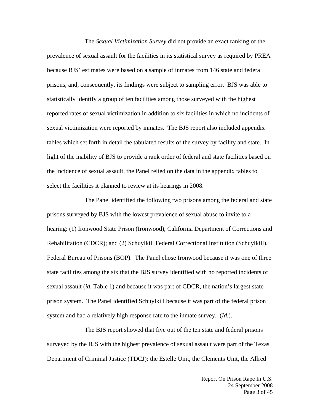The *Sexual Victimization Survey* did not provide an exact ranking of the prevalence of sexual assault for the facilities in its statistical survey as required by PREA because BJS' estimates were based on a sample of inmates from 146 state and federal prisons, and, consequently, its findings were subject to sampling error. BJS was able to statistically identify a group of ten facilities among those surveyed with the highest reported rates of sexual victimization in addition to six facilities in which no incidents of sexual victimization were reported by inmates. The BJS report also included appendix tables which set forth in detail the tabulated results of the survey by facility and state. In light of the inability of BJS to provide a rank order of federal and state facilities based on the incidence of sexual assault, the Panel relied on the data in the appendix tables to select the facilities it planned to review at its hearings in 2008.

The Panel identified the following two prisons among the federal and state prisons surveyed by BJS with the lowest prevalence of sexual abuse to invite to a hearing: (1) Ironwood State Prison (Ironwood), California Department of Corrections and Rehabilitation (CDCR); and (2) Schuylkill Federal Correctional Institution (Schuylkill), Federal Bureau of Prisons (BOP). The Panel chose Ironwood because it was one of three state facilities among the six that the BJS survey identified with no reported incidents of sexual assault (*id.* Table 1) and because it was part of CDCR, the nation's largest state prison system. The Panel identified Schuylkill because it was part of the federal prison system and had a relatively high response rate to the inmate survey. (*Id.*).

The BJS report showed that five out of the ten state and federal prisons surveyed by the BJS with the highest prevalence of sexual assault were part of the Texas Department of Criminal Justice (TDCJ): the Estelle Unit, the Clements Unit, the Allred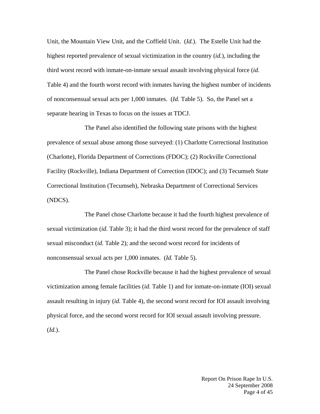Unit, the Mountain View Unit, and the Coffield Unit. (*Id.*). The Estelle Unit had the highest reported prevalence of sexual victimization in the country (*id.*), including the third worst record with inmate-on-inmate sexual assault involving physical force (*id.* Table 4) and the fourth worst record with inmates having the highest number of incidents of nonconsensual sexual acts per 1,000 inmates. (*Id.* Table 5). So, the Panel set a separate hearing in Texas to focus on the issues at TDCJ.

The Panel also identified the following state prisons with the highest prevalence of sexual abuse among those surveyed: (1) Charlotte Correctional Institution (Charlotte), Florida Department of Corrections (FDOC); (2) Rockville Correctional Facility (Rockville), Indiana Department of Correction (IDOC); and (3) Tecumseh State Correctional Institution (Tecumseh), Nebraska Department of Correctional Services (NDCS).

The Panel chose Charlotte because it had the fourth highest prevalence of sexual victimization (*id.* Table 3); it had the third worst record for the prevalence of staff sexual misconduct (*id.* Table 2); and the second worst record for incidents of nonconsensual sexual acts per 1,000 inmates. (*Id.* Table 5).

The Panel chose Rockville because it had the highest prevalence of sexual victimization among female facilities (*id.* Table 1) and for inmate-on-inmate (IOI) sexual assault resulting in injury (*id.* Table 4), the second worst record for IOI assault involving physical force, and the second worst record for IOI sexual assault involving pressure. (*Id.*).

> Report On Prison Rape In U.S. 24 September 2008 Page 4 of 45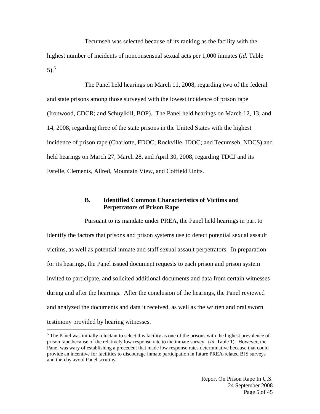Tecumseh was selected because of its ranking as the facility with the highest number of incidents of nonconsensual sexual acts per 1,000 inmates (*id.* Table 5).<sup>5</sup>

The Panel held hearings on March 11, 2008, regarding two of the federal and state prisons among those surveyed with the lowest incidence of prison rape (Ironwood, CDCR; and Schuylkill, BOP). The Panel held hearings on March 12, 13, and 14, 2008, regarding three of the state prisons in the United States with the highest incidence of prison rape (Charlotte, FDOC; Rockville, IDOC; and Tecumseh, NDCS) and held hearings on March 27, March 28, and April 30, 2008, regarding TDCJ and its Estelle, Clements, Allred, Mountain View, and Coffield Units.

#### **B. Identified Common Characteristics of Victims and Perpetrators of Prison Rape**

 $\overline{a}$ Pursuant to its mandate under PREA, the Panel held hearings in part to identify the factors that prisons and prison systems use to detect potential sexual assault victims, as well as potential inmate and staff sexual assault perpetrators. In preparation for its hearings, the Panel issued document requests to each prison and prison system invited to participate, and solicited additional documents and data from certain witnesses during and after the hearings. After the conclusion of the hearings, the Panel reviewed and analyzed the documents and data it received, as well as the written and oral sworn testimony provided by hearing witnesses.

 $<sup>5</sup>$  The Panel was initially reluctant to select this facility as one of the prisons with the highest prevalence of</sup> prison rape because of the relatively low response rate to the inmate survey. (*Id.* Table 1). However, the Panel was wary of establishing a precedent that made low response rates determinative because that could provide an incentive for facilities to discourage inmate participation in future PREA-related BJS surveys and thereby avoid Panel scrutiny.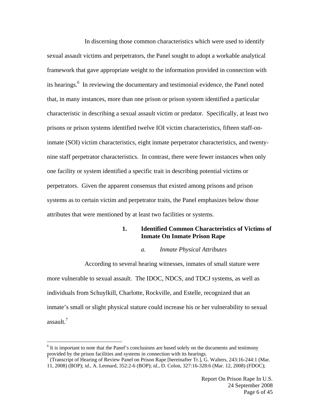In discerning those common characteristics which were used to identify sexual assault victims and perpetrators, the Panel sought to adopt a workable analytical framework that gave appropriate weight to the information provided in connection with its hearings.<sup>6</sup> In reviewing the documentary and testimonial evidence, the Panel noted that, in many instances, more than one prison or prison system identified a particular characteristic in describing a sexual assault victim or predator. Specifically, at least two prisons or prison systems identified twelve IOI victim characteristics, fifteen staff-oninmate (SOI) victim characteristics, eight inmate perpetrator characteristics, and twentynine staff perpetrator characteristics. In contrast, there were fewer instances when only one facility or system identified a specific trait in describing potential victims or perpetrators. Given the apparent consensus that existed among prisons and prison systems as to certain victim and perpetrator traits, the Panel emphasizes below those attributes that were mentioned by at least two facilities or systems.

## **1. Identified Common Characteristics of Victims of Inmate On Inmate Prison Rape**

#### *a. Inmate Physical Attributes*

According to several hearing witnesses, inmates of small stature were more vulnerable to sexual assault. The IDOC, NDCS, and TDCJ systems, as well as individuals from Schuylkill, Charlotte, Rockville, and Estelle, recognized that an inmate's small or slight physical stature could increase his or her vulnerability to sexual assault.7

<sup>&</sup>lt;sup>6</sup> It is important to note that the Panel's conclusions are based solely on the documents and testimony provided by the prison facilities and systems in connection with its hearings. 7

 <sup>(</sup>Transcript of Hearing of Review Panel on Prison Rape [hereinafter Tr.], G. Walters, 243:16-244:1 (Mar.

<sup>11, 2008) (</sup>BOP); *id.*, A. Leonard, 352:2-6 (BOP); *id.*, D. Colon, 327:16-328:6 (Mar. 12, 2008) (FDOC);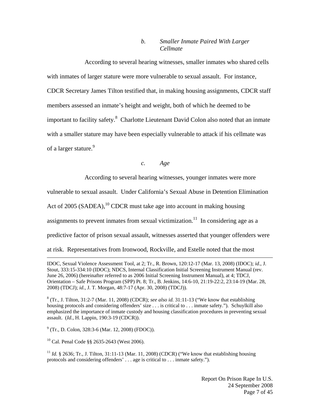## *b. Smaller Inmate Paired With Larger Cellmate*

According to several hearing witnesses, smaller inmates who shared cells with inmates of larger stature were more vulnerable to sexual assault. For instance, CDCR Secretary James Tilton testified that, in making housing assignments, CDCR staff members assessed an inmate's height and weight, both of which he deemed to be important to facility safety.<sup>8</sup> Charlotte Lieutenant David Colon also noted that an inmate with a smaller stature may have been especially vulnerable to attack if his cellmate was of a larger stature.<sup>9</sup>

#### *c. Age*

According to several hearing witnesses, younger inmates were more

vulnerable to sexual assault. Under California's Sexual Abuse in Detention Elimination

Act of 2005 (SADEA), $^{10}$  CDCR must take age into account in making housing

assignments to prevent inmates from sexual victimization.<sup>11</sup> In considering age as a

predictive factor of prison sexual assault, witnesses asserted that younger offenders were

at risk. Representatives from Ironwood, Rockville, and Estelle noted that the most

<sup>9</sup> (Tr., D. Colon, 328:3-6 (Mar. 12, 2008) (FDOC)).

10 Cal. Penal Code §§ 2635-2643 (West 2006).

 $\overline{a}$ 

<sup>11</sup> *Id.* § 2636; Tr., J. Tilton, 31:11-13 (Mar. 11, 2008) (CDCR) ("We know that establishing housing protocols and considering offenders' . . . age is critical to . . . inmate safety.").

IDOC, Sexual Violence Assessment Tool, at 2; Tr., R. Brown, 120:12-17 (Mar. 13, 2008) (IDOC); *id.*, J. Stout, 333:15-334:10 (IDOC); NDCS, Internal Classification Initial Screening Instrument Manual (rev. June 26, 2006) (hereinafter referred to as 2006 Initial Screening Instrument Manual), at 4; TDCJ, Orientation – Safe Prisons Program (SPP) Pt. 8; Tr., B. Jenkins, 14:6-10, 21:19-22:2, 23:14-19 (Mar. 28, 2008) (TDCJ); *id.*, J. T. Morgan, 48:7-17 (Apr. 30, 2008) (TDCJ)).

 $8$  (Tr., J. Tilton, 31:2-7 (Mar. 11, 2008) (CDCR); *see also id.* 31:11-13 ("We know that establishing housing protocols and considering offenders' size . . . is critical to . . . inmate safety."). Schuylkill also emphasized the importance of inmate custody and housing classification procedures in preventing sexual assault. (*Id.*, H. Lappin, 190:3-19 (CDCR)).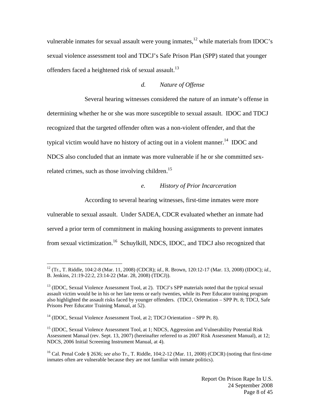vulnerable inmates for sexual assault were young inmates,<sup>12</sup> while materials from IDOC's sexual violence assessment tool and TDCJ's Safe Prison Plan (SPP) stated that younger offenders faced a heightened risk of sexual assault.<sup>13</sup>

#### *d. Nature of Offense*

Several hearing witnesses considered the nature of an inmate's offense in determining whether he or she was more susceptible to sexual assault. IDOC and TDCJ recognized that the targeted offender often was a non-violent offender, and that the typical victim would have no history of acting out in a violent manner.<sup>14</sup> IDOC and NDCS also concluded that an inmate was more vulnerable if he or she committed sexrelated crimes, such as those involving children.<sup>15</sup>

#### *e. History of Prior Incarceration*

According to several hearing witnesses, first-time inmates were more

vulnerable to sexual assault. Under SADEA, CDCR evaluated whether an inmate had served a prior term of commitment in making housing assignments to prevent inmates from sexual victimization.<sup>16</sup> Schuylkill, NDCS, IDOC, and TDCJ also recognized that

<sup>12 (</sup>Tr., T. Riddle, 104:2-8 (Mar. 11, 2008) (CDCR); *id.*, R. Brown, 120:12-17 (Mar. 13, 2008) (IDOC); *id.*, B. Jenkins, 21:19-22:2, 23:14-22 (Mar. 28, 2008) (TDCJ)).

<sup>&</sup>lt;sup>13</sup> (IDOC, Sexual Violence Assessment Tool, at 2). TDCJ's SPP materials noted that the typical sexual assault victim would be in his or her late teens or early twenties, while its Peer Educator training program also highlighted the assault risks faced by younger offenders. (TDCJ, Orientation – SPP Pt. 8; TDCJ, Safe Prisons Peer Educator Training Manual, at 52).

 $14$  (IDOC, Sexual Violence Assessment Tool, at 2; TDCJ Orientation – SPP Pt. 8).

<sup>&</sup>lt;sup>15</sup> (IDOC, Sexual Violence Assessment Tool, at 1; NDCS, Aggression and Vulnerability Potential Risk Assessment Manual (rev. Sept. 13, 2007) (hereinafter referred to as 2007 Risk Assessment Manual), at 12; NDCS, 2006 Initial Screening Instrument Manual, at 4).

<sup>16</sup> Cal. Penal Code § 2636; *see also* Tr., T. Riddle, 104:2-12 (Mar. 11, 2008) (CDCR) (noting that first-time inmates often are vulnerable because they are not familiar with inmate politics).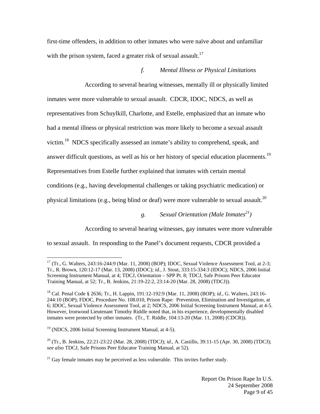first-time offenders, in addition to other inmates who were naïve about and unfamiliar with the prison system, faced a greater risk of sexual assault.<sup>17</sup>

## *f. Mental Illness or Physical Limitations*

According to several hearing witnesses, mentally ill or physically limited inmates were more vulnerable to sexual assault. CDCR, IDOC, NDCS, as well as representatives from Schuylkill, Charlotte, and Estelle, emphasized that an inmate who had a mental illness or physical restriction was more likely to become a sexual assault victim.18 NDCS specifically assessed an inmate's ability to comprehend, speak, and answer difficult questions, as well as his or her history of special education placements.<sup>19</sup> Representatives from Estelle further explained that inmates with certain mental conditions (e.g., having developmental challenges or taking psychiatric medication) or physical limitations (e.g., being blind or deaf) were more vulnerable to sexual assault.<sup>20</sup>

*g. Sexual Orientation (Male Inmates21)* 

According to several hearing witnesses, gay inmates were more vulnerable

to sexual assault. In responding to the Panel's document requests, CDCR provided a

 $17$  (Tr., G. Walters, 243:16-244:9 (Mar. 11, 2008) (BOP); IDOC, Sexual Violence Assessment Tool, at 2-3; Tr., R. Brown, 120:12-17 (Mar. 13, 2008) (IDOC); *id.*, J. Stout, 333:15-334:3 (IDOC); NDCS, 2006 Initial Screening Instrument Manual, at 4; TDCJ, Orientation – SPP Pt. 8; TDCJ, Safe Prisons Peer Educator Training Manual, at 52; Tr., B. Jenkins, 21:19-22:2, 23:14-20 (Mar. 28, 2008) (TDCJ)).

<sup>18</sup> Cal. Penal Code § 2636; Tr., H. Lappin, 191:12-192:9 (Mar. 11, 2008) (BOP); *id.*, G. Walters, 243:16- 244:10 (BOP); FDOC, Procedure No. 108.010, Prison Rape: Prevention, Elimination and Investigation, at 6; IDOC, Sexual Violence Assessment Tool, at 2; NDCS, 2006 Initial Screening Instrument Manual, at 4-5. However, Ironwood Lieutenant Timothy Riddle noted that, in his experience, developmentally disabled inmates were protected by other inmates. (Tr., T. Riddle, 104:13-20 (Mar. 11, 2008) (CDCR)).

<sup>19 (</sup>NDCS, 2006 Initial Screening Instrument Manual, at 4-5).

<sup>20 (</sup>Tr., B. Jenkins, 22:21-23:22 (Mar. 28, 2008) (TDCJ); *id.*, A. Castillo, 39:11-15 (Apr. 30, 2008) (TDCJ); *see also* TDCJ, Safe Prisons Peer Educator Training Manual, at 52).

 $21$  Gay female inmates may be perceived as less vulnerable. This invites further study.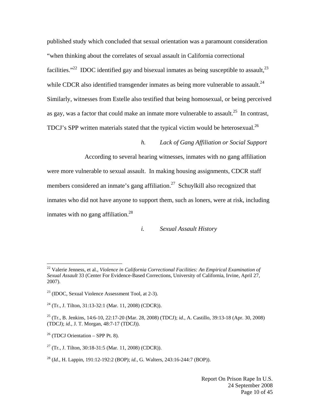published study which concluded that sexual orientation was a paramount consideration "when thinking about the correlates of sexual assault in California correctional facilities."<sup>22</sup> IDOC identified gay and bisexual inmates as being susceptible to assault, $^{23}$ while CDCR also identified transgender inmates as being more vulnerable to assault.<sup>24</sup> Similarly, witnesses from Estelle also testified that being homosexual, or being perceived as gay, was a factor that could make an inmate more vulnerable to assault.<sup>25</sup> In contrast, TDCJ's SPP written materials stated that the typical victim would be heterosexual.<sup>26</sup>

## *h. Lack of Gang Affiliation or Social Support*

According to several hearing witnesses, inmates with no gang affiliation

were more vulnerable to sexual assault. In making housing assignments, CDCR staff members considered an inmate's gang affiliation.<sup>27</sup> Schuylkill also recognized that inmates who did not have anyone to support them, such as loners, were at risk, including inmates with no gang affiliation.<sup>28</sup>

#### *i. Sexual Assault History*

<sup>22</sup> Valerie Jenness, et al., *Violence in California Correctional Facilities: An Empirical Examination of Sexual Assault* 33 (Center For Evidence-Based Corrections, University of California, Irvine, April 27, 2007).

 $23$  (IDOC, Sexual Violence Assessment Tool, at 2-3).

<sup>&</sup>lt;sup>24</sup> (Tr., J. Tilton, 31:13-32:1 (Mar. 11, 2008) (CDCR)).

<sup>25 (</sup>Tr., B. Jenkins, 14:6-10, 22:17-20 (Mar. 28, 2008) (TDCJ); *id.*, A. Castillo, 39:13-18 (Apr. 30, 2008) (TDCJ); *id.*, J. T. Morgan, 48:7-17 (TDCJ)).

 $26$  (TDCJ Orientation – SPP Pt. 8).

<sup>27 (</sup>Tr*.*, J. Tilton, 30:18-31:5 (Mar. 11, 2008) (CDCR)).

<sup>28 (</sup>*Id.*, H. Lappin, 191:12-192:2 (BOP); *id.*, G. Walters, 243:16-244:7 (BOP)).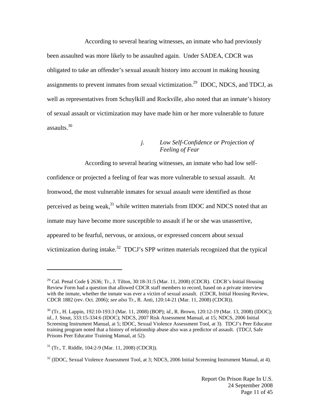According to several hearing witnesses, an inmate who had previously been assaulted was more likely to be assaulted again. Under SADEA, CDCR was obligated to take an offender's sexual assault history into account in making housing assignments to prevent inmates from sexual victimization.29 IDOC, NDCS, and TDCJ, as well as representatives from Schuylkill and Rockville, also noted that an inmate's history of sexual assault or victimization may have made him or her more vulnerable to future assaults. $30$ 

## *j. Low Self-Confidence or Projection of Feeling of Fear*

According to several hearing witnesses, an inmate who had low selfconfidence or projected a feeling of fear was more vulnerable to sexual assault. At Ironwood, the most vulnerable inmates for sexual assault were identified as those perceived as being weak, $31$  while written materials from IDOC and NDCS noted that an inmate may have become more susceptible to assault if he or she was unassertive, appeared to be fearful, nervous, or anxious, or expressed concern about sexual victimization during intake.<sup>32</sup> TDCJ's SPP written materials recognized that the typical

<sup>&</sup>lt;sup>29</sup> Cal. Penal Code § 2636; Tr., J. Tilton, 30:18-31:5 (Mar. 11, 2008) (CDCR). CDCR's Initial Housing Review Form had a question that allowed CDCR staff members to record, based on a private interview with the inmate, whether the inmate was ever a victim of sexual assault. (CDCR, Initial Housing Review, CDCR 1882 (rev. Oct. 2006); *see also* Tr., R. Anti, 120:14-21 (Mar. 11, 2008) (CDCR)).

<sup>30 (</sup>Tr., H. Lappin, 192:10-193:3 (Mar. 11, 2008) (BOP); *id.*, R. Brown, 120:12-19 (Mar. 13, 2008) (IDOC); *id.*, J. Stout, 333:15-334:6 (IDOC); NDCS, 2007 Risk Assessment Manual, at 15; NDCS, 2006 Initial Screening Instrument Manual, at 5; IDOC, Sexual Violence Assessment Tool, at 3). TDCJ's Peer Educator training program noted that a history of relationship abuse also was a predictor of assault. (TDCJ, Safe Prisons Peer Educator Training Manual, at 52).

 $31$  (Tr., T. Riddle, 104:2-9 (Mar. 11, 2008) (CDCR)).

<sup>&</sup>lt;sup>32</sup> (IDOC, Sexual Violence Assessment Tool, at 3; NDCS, 2006 Initial Screening Instrument Manual, at 4).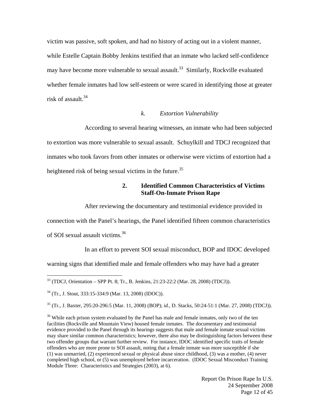victim was passive, soft spoken, and had no history of acting out in a violent manner, while Estelle Captain Bobby Jenkins testified that an inmate who lacked self-confidence may have become more vulnerable to sexual assault.<sup>33</sup> Similarly, Rockville evaluated whether female inmates had low self-esteem or were scared in identifying those at greater risk of assault.<sup>34</sup>

#### *k. Extortion Vulnerability*

According to several hearing witnesses, an inmate who had been subjected to extortion was more vulnerable to sexual assault. Schuylkill and TDCJ recognized that inmates who took favors from other inmates or otherwise were victims of extortion had a heightened risk of being sexual victims in the future.<sup>35</sup>

#### **2. Identified Common Characteristics of Victims Staff-On-Inmate Prison Rape**

After reviewing the documentary and testimonial evidence provided in

connection with the Panel's hearings, the Panel identified fifteen common characteristics

of SOI sexual assault victims.<sup>36</sup>

 $\overline{a}$ 

In an effort to prevent SOI sexual misconduct, BOP and IDOC developed

warning signs that identified male and female offenders who may have had a greater

35 (Tr., J. Baxter, 295:20-296:5 (Mar. 11, 2008) (BOP); *id.*, D. Stacks, 50:24-51:1 (Mar. 27, 2008) (TDCJ)).

 $36$  While each prison system evaluated by the Panel has male and female inmates, only two of the ten facilities (Rockville and Mountain View) housed female inmates. The documentary and testimonial evidence provided to the Panel through its hearings suggests that male and female inmate sexual victims may share similar common characteristics; however, there also may be distinguishing factors between these two offender groups that warrant further review. For instance, IDOC identified specific traits of female offenders who are more prone to SOI assault, noting that a female inmate was more susceptible if she (1) was unmarried, (2) experienced sexual or physical abuse since childhood, (3) was a mother, (4) never completed high school, or (5) was unemployed before incarceration. (IDOC Sexual Misconduct Training Module Three: Characteristics and Strategies (2003), at 6).

> Report On Prison Rape In U.S. 24 September 2008 Page 12 of 45

 $33$  (TDCJ, Orientation – SPP Pt. 8; Tr., B. Jenkins, 21:23-22:2 (Mar. 28, 2008) (TDCJ)).

<sup>34 (</sup>Tr., J. Stout, 333:15-334:9 (Mar. 13, 2008) (IDOC)).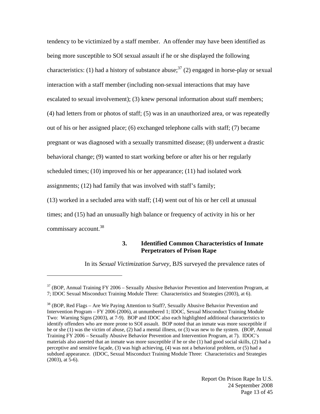tendency to be victimized by a staff member. An offender may have been identified as being more susceptible to SOI sexual assault if he or she displayed the following characteristics: (1) had a history of substance abuse;<sup>37</sup> (2) engaged in horse-play or sexual interaction with a staff member (including non-sexual interactions that may have escalated to sexual involvement); (3) knew personal information about staff members; (4) had letters from or photos of staff; (5) was in an unauthorized area, or was repeatedly out of his or her assigned place; (6) exchanged telephone calls with staff; (7) became pregnant or was diagnosed with a sexually transmitted disease; (8) underwent a drastic behavioral change; (9) wanted to start working before or after his or her regularly scheduled times; (10) improved his or her appearance; (11) had isolated work assignments; (12) had family that was involved with staff's family;

(13) worked in a secluded area with staff; (14) went out of his or her cell at unusual times; and (15) had an unusually high balance or frequency of activity in his or her commissary account.<sup>38</sup>

#### **3. Identified Common Characteristics of Inmate Perpetrators of Prison Rape**

In its *Sexual Victimization Survey*, BJS surveyed the prevalence rates of

 $37$  (BOP, Annual Training FY 2006 – Sexually Abusive Behavior Prevention and Intervention Program, at 7; IDOC Sexual Misconduct Training Module Three: Characteristics and Strategies (2003), at 6).

<sup>&</sup>lt;sup>38</sup> (BOP, Red Flags – Are We Paying Attention to Staff?, Sexually Abusive Behavior Prevention and Intervention Program – FY 2006 (2006), at unnumbered 1; IDOC, Sexual Misconduct Training Module Two: Warning Signs (2003), at 7-9). BOP and IDOC also each highlighted additional characteristics to identify offenders who are more prone to SOI assault. BOP noted that an inmate was more susceptible if he or she (1) was the victim of abuse, (2) had a mental illness, or (3) was new to the system. (BOP, Annual Training FY 2006 – Sexually Abusive Behavior Prevention and Intervention Program, at 7). IDOC's materials also asserted that an inmate was more susceptible if he or she (1) had good social skills, (2) had a perceptive and sensitive façade, (3) was high achieving, (4) was not a behavioral problem, or (5) had a subdued appearance. (IDOC, Sexual Misconduct Training Module Three: Characteristics and Strategies (2003), at 5-6).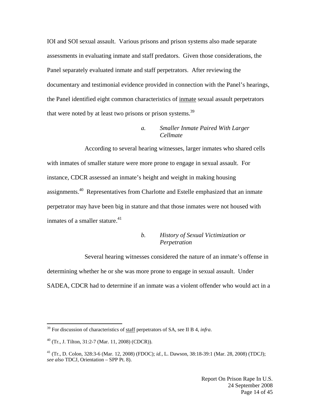IOI and SOI sexual assault. Various prisons and prison systems also made separate assessments in evaluating inmate and staff predators. Given those considerations, the Panel separately evaluated inmate and staff perpetrators. After reviewing the documentary and testimonial evidence provided in connection with the Panel's hearings, the Panel identified eight common characteristics of inmate sexual assault perpetrators that were noted by at least two prisons or prison systems.<sup>39</sup>

## *a. Smaller Inmate Paired With Larger Cellmate*

According to several hearing witnesses, larger inmates who shared cells with inmates of smaller stature were more prone to engage in sexual assault. For instance, CDCR assessed an inmate's height and weight in making housing assignments.40 Representatives from Charlotte and Estelle emphasized that an inmate perpetrator may have been big in stature and that those inmates were not housed with inmates of a smaller stature. $41$ 

## *b. History of Sexual Victimization or Perpetration*

Several hearing witnesses considered the nature of an inmate's offense in determining whether he or she was more prone to engage in sexual assault. Under SADEA, CDCR had to determine if an inmate was a violent offender who would act in a

1

<sup>&</sup>lt;sup>39</sup> For discussion of characteristics of staff perpetrators of SA, see II B 4, *infra*.

 $^{40}$  (Tr., J. Tilton, 31:2-7 (Mar. 11, 2008) (CDCR)).

<sup>41 (</sup>Tr., D. Colon, 328:3-6 (Mar. 12, 2008) (FDOC); *id.*, L. Dawson, 38:18-39:1 (Mar. 28, 2008) (TDCJ); *see also* TDCJ, Orientation – SPP Pt. 8).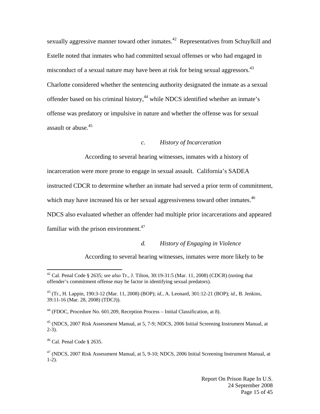sexually aggressive manner toward other inmates.<sup>42</sup> Representatives from Schuylkill and Estelle noted that inmates who had committed sexual offenses or who had engaged in misconduct of a sexual nature may have been at risk for being sexual aggressors.<sup>43</sup> Charlotte considered whether the sentencing authority designated the inmate as a sexual offender based on his criminal history,<sup>44</sup> while NDCS identified whether an inmate's offense was predatory or impulsive in nature and whether the offense was for sexual assault or abuse.45

#### *c. History of Incarceration*

According to several hearing witnesses, inmates with a history of

incarceration were more prone to engage in sexual assault. California's SADEA

instructed CDCR to determine whether an inmate had served a prior term of commitment,

which may have increased his or her sexual aggressiveness toward other inmates.<sup>46</sup>

NDCS also evaluated whether an offender had multiple prior incarcerations and appeared familiar with the prison environment. $47$ 

#### *d. History of Engaging in Violence*

According to several hearing witnesses, inmates were more likely to be

 $44$  (FDOC, Procedure No. 601.209, Reception Process – Initial Classification, at 8).

45 (NDCS, 2007 Risk Assessment Manual, at 5, 7-9; NDCS, 2006 Initial Screening Instrument Manual, at  $2-3)$ .

<sup>42</sup> Cal. Penal Code § 2635; *see also* Tr., J. Tilton, 30:19-31:5 (Mar. 11, 2008) (CDCR) (noting that offender's commitment offense may be factor in identifying sexual predators).

<sup>43 (</sup>Tr., H. Lappin, 190:3-12 (Mar. 11, 2008) (BOP); *id.*, A. Leonard, 301:12-21 (BOP); *id.*, B. Jenkins, 39:11-16 (Mar. 28, 2008) (TDCJ)).

 $46$  Cal. Penal Code § 2635.

 $47$  (NDCS, 2007 Risk Assessment Manual, at 5, 9-10; NDCS, 2006 Initial Screening Instrument Manual, at 1-2).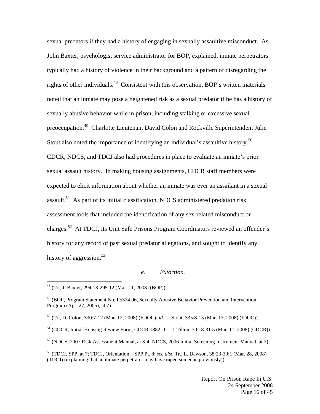sexual predators if they had a history of engaging in sexually assaultive misconduct. As John Baxter, psychologist service administrator for BOP, explained, inmate perpetrators typically had a history of violence in their background and a pattern of disregarding the rights of other individuals.<sup>48</sup> Consistent with this observation, BOP's written materials noted that an inmate may pose a heightened risk as a sexual predator if he has a history of sexually abusive behavior while in prison, including stalking or excessive sexual preoccupation.49 Charlotte Lieutenant David Colon and Rockville Superintendent Julie Stout also noted the importance of identifying an individual's assaultive history.<sup>50</sup> CDCR, NDCS, and TDCJ also had procedures in place to evaluate an inmate's prior sexual assault history. In making housing assignments, CDCR staff members were expected to elicit information about whether an inmate was ever an assailant in a sexual assault.<sup>51</sup> As part of its initial classification, NDCS administered predation risk assessment tools that included the identification of any sex-related misconduct or charges.52 At TDCJ, its Unit Safe Prisons Program Coordinators reviewed an offender's history for any record of past sexual predator allegations, and sought to identify any history of aggression.<sup>53</sup>

#### *e. Extortion.*

<sup>48 (</sup>Tr., J. Baxter, 294:13-295:12 (Mar. 11, 2008) (BOP)).

<sup>49 (</sup>BOP, Program Statement No. P5324.06, Sexually Abusive Behavior Prevention and Intervention Program (Apr. 27, 2005), at 7).

<sup>50 (</sup>Tr., D. Colon, 330:7-12 (Mar. 12, 2008) (FDOC); *id.*, J. Stout, 335:8-15 (Mar. 13, 2008) (IDOC)).

<sup>51 (</sup>CDCR, Initial Housing Review Form, CDCR 1882; Tr., J. Tilton, 30:18-31:5 (Mar. 11, 2008) (CDCR)).

 $52$  (NDCS, 2007 Risk Assessment Manual, at 3-4; NDCS, 2006 Initial Screening Instrument Manual, at 2).

<sup>53 (</sup>TDCJ, SPP, at 7; TDCJ, Orientation – SPP Pt. 8; *see also* Tr., L. Dawson, 38:23-39:1 (Mar. 28, 2008) (TDCJ) (explaining that an inmate perpetrator may have raped someone previously)).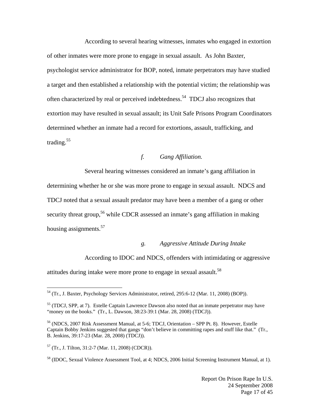According to several hearing witnesses, inmates who engaged in extortion of other inmates were more prone to engage in sexual assault. As John Baxter, psychologist service administrator for BOP, noted, inmate perpetrators may have studied a target and then established a relationship with the potential victim; the relationship was often characterized by real or perceived indebtedness.<sup>54</sup> TDCJ also recognizes that extortion may have resulted in sexual assault; its Unit Safe Prisons Program Coordinators determined whether an inmate had a record for extortions, assault, trafficking, and trading. $55$ 

#### *f. Gang Affiliation.*

Several hearing witnesses considered an inmate's gang affiliation in determining whether he or she was more prone to engage in sexual assault. NDCS and TDCJ noted that a sexual assault predator may have been a member of a gang or other security threat group,<sup>56</sup> while CDCR assessed an inmate's gang affiliation in making housing assignments.<sup>57</sup>

#### *g. Aggressive Attitude During Intake*

According to IDOC and NDCS, offenders with intimidating or aggressive

attitudes during intake were more prone to engage in sexual assault.<sup>58</sup>

<sup>&</sup>lt;sup>54</sup> (Tr., J. Baxter, Psychology Services Administrator, retired, 295:6-12 (Mar. 11, 2008) (BOP)).

 $<sup>55</sup>$  (TDCJ, SPP, at 7). Estelle Captain Lawrence Dawson also noted that an inmate perpetrator may have</sup> "money on the books." (Tr., L. Dawson, 38:23-39:1 (Mar. 28, 2008) (TDCJ)).

<sup>56 (</sup>NDCS, 2007 Risk Assessment Manual, at 5-6; TDCJ, Orientation – SPP Pt. 8). However, Estelle Captain Bobby Jenkins suggested that gangs "don't believe in committing rapes and stuff like that." (Tr., B. Jenkins, 39:17-23 (Mar. 28, 2008) (TDCJ)).

 $57$  (Tr., J. Tilton, 31:2-7 (Mar. 11, 2008) (CDCR)).

<sup>58 (</sup>IDOC, Sexual Violence Assessment Tool, at 4; NDCS, 2006 Initial Screening Instrument Manual, at 1).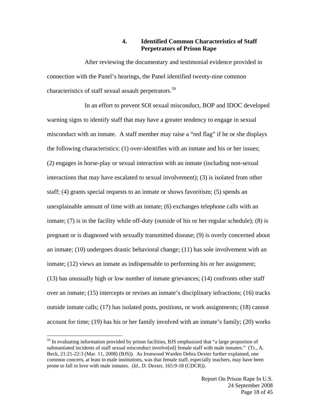## **4. Identified Common Characteristics of Staff Perpetrators of Prison Rape**

After reviewing the documentary and testimonial evidence provided in connection with the Panel's hearings, the Panel identified twenty-nine common characteristics of staff sexual assault perpetrators.<sup>59</sup>

In an effort to prevent SOI sexual misconduct, BOP and IDOC developed warning signs to identify staff that may have a greater tendency to engage in sexual misconduct with an inmate. A staff member may raise a "red flag" if he or she displays the following characteristics: (1) over-identifies with an inmate and his or her issues; (2) engages in horse-play or sexual interaction with an inmate (including non-sexual interactions that may have escalated to sexual involvement); (3) is isolated from other staff; (4) grants special requests to an inmate or shows favoritism; (5) spends an unexplainable amount of time with an inmate; (6) exchanges telephone calls with an inmate; (7) is in the facility while off-duty (outside of his or her regular schedule); (8) is pregnant or is diagnosed with sexually transmitted disease; (9) is overly concerned about an inmate; (10) undergoes drastic behavioral change; (11) has sole involvement with an inmate; (12) views an inmate as indispensable to performing his or her assignment; (13) has unusually high or low number of inmate grievances; (14) confronts other staff over an inmate; (15) intercepts or revises an inmate's disciplinary infractions; (16) tracks outside inmate calls; (17) has isolated posts, positions, or work assignments; (18) cannot account for time; (19) has his or her family involved with an inmate's family; (20) works

 $59$  In evaluating information provided by prison facilities, BJS emphasized that "a large proportion of substantiated incidents of staff sexual misconduct involve[ed] female staff with male inmates." (Tr., A. Beck, 21:21-22:3 (Mar. 11, 2008) (BJS)). As Ironwood Warden Debra Dexter further explained, one common concern, at least in male institutions, was that female staff, especially teachers, may have been prone to fall in love with male inmates. (*Id.*, D. Dexter, 165:9-18 (CDCR)).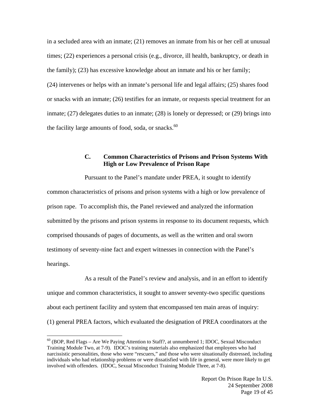in a secluded area with an inmate; (21) removes an inmate from his or her cell at unusual times; (22) experiences a personal crisis (e.g., divorce, ill health, bankruptcy, or death in the family); (23) has excessive knowledge about an inmate and his or her family; (24) intervenes or helps with an inmate's personal life and legal affairs; (25) shares food or snacks with an inmate; (26) testifies for an inmate, or requests special treatment for an inmate; (27) delegates duties to an inmate; (28) is lonely or depressed; or (29) brings into the facility large amounts of food, soda, or snacks. $60$ 

## **C. Common Characteristics of Prisons and Prison Systems With High or Low Prevalence of Prison Rape**

Pursuant to the Panel's mandate under PREA, it sought to identify common characteristics of prisons and prison systems with a high or low prevalence of prison rape. To accomplish this, the Panel reviewed and analyzed the information submitted by the prisons and prison systems in response to its document requests, which comprised thousands of pages of documents, as well as the written and oral sworn testimony of seventy-nine fact and expert witnesses in connection with the Panel's hearings.

As a result of the Panel's review and analysis, and in an effort to identify unique and common characteristics, it sought to answer seventy-two specific questions about each pertinent facility and system that encompassed ten main areas of inquiry: (1) general PREA factors, which evaluated the designation of PREA coordinators at the

 $60$  (BOP, Red Flags – Are We Paying Attention to Staff?, at unnumbered 1; IDOC, Sexual Misconduct Training Module Two, at 7-9). IDOC's training materials also emphasized that employees who had narcissistic personalities, those who were "rescuers," and those who were situationally distressed, including individuals who had relationship problems or were dissatisfied with life in general, were more likely to get involved with offenders. (IDOC, Sexual Misconduct Training Module Three, at 7-8).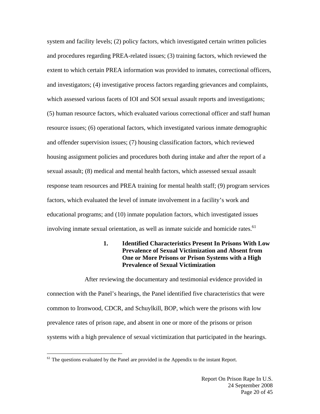system and facility levels; (2) policy factors, which investigated certain written policies and procedures regarding PREA-related issues; (3) training factors, which reviewed the extent to which certain PREA information was provided to inmates, correctional officers, and investigators; (4) investigative process factors regarding grievances and complaints, which assessed various facets of IOI and SOI sexual assault reports and investigations; (5) human resource factors, which evaluated various correctional officer and staff human resource issues; (6) operational factors, which investigated various inmate demographic and offender supervision issues; (7) housing classification factors, which reviewed housing assignment policies and procedures both during intake and after the report of a sexual assault; (8) medical and mental health factors, which assessed sexual assault response team resources and PREA training for mental health staff; (9) program services factors, which evaluated the level of inmate involvement in a facility's work and educational programs; and (10) inmate population factors, which investigated issues involving inmate sexual orientation, as well as inmate suicide and homicide rates. $^{61}$ 

## **1. Identified Characteristics Present In Prisons With Low Prevalence of Sexual Victimization and Absent from One or More Prisons or Prison Systems with a High Prevalence of Sexual Victimization**

After reviewing the documentary and testimonial evidence provided in connection with the Panel's hearings, the Panel identified five characteristics that were common to Ironwood, CDCR, and Schuylkill, BOP, which were the prisons with low prevalence rates of prison rape, and absent in one or more of the prisons or prison systems with a high prevalence of sexual victimization that participated in the hearings.

 $<sup>61</sup>$  The questions evaluated by the Panel are provided in the Appendix to the instant Report.</sup>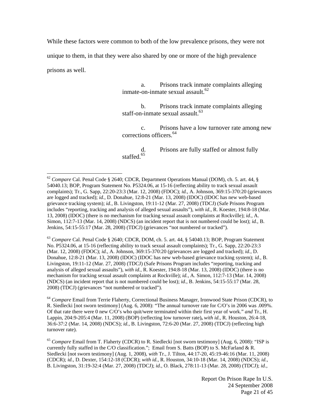While these factors were common to both of the low prevalence prisons, they were not

unique to them, in that they were also shared by one or more of the high prevalence

prisons as well.

 $\overline{a}$ 

 a. Prisons track inmate complaints alleging inmate-on-inmate sexual assault.<sup>62</sup>

 b. Prisons track inmate complaints alleging staff-on-inmate sexual assault.<sup>63</sup>

 c. Prisons have a low turnover rate among new corrections officers.<sup>64</sup>

 d. Prisons are fully staffed or almost fully staffed<sup>65</sup>

<sup>63</sup> *Compare* Cal. Penal Code § 2640; CDCR, DOM, ch. 5. art. 44, § 54040.13; BOP, Program Statement No. P5324.06, at 15-16 (reflecting ability to track sexual assault complaints); Tr., G. Sapp, 22:20-23:3 (Mar. 12, 2008) (FDOC); *id.*, A. Johnson, 369:15-370:20 (grievances are logged and tracked); *id.*, D. Donahue, 12:8-21 (Mar. 13, 2008) (IDOC) (IDOC has new web-based grievance tracking system); *id.*, B. Livingston, 19:11-12 (Mar. 27, 2008) (TDCJ) (Safe Prisons Program includes "reporting, tracking and analysis of alleged sexual assaults"), *with id.*, R. Koester, 194:8-18 (Mar. 13, 2008) (IDOC) (there is no mechanism for tracking sexual assault complaints at Rockville); *id.*, A. Simon, 112:7-13 (Mar. 14, 2008) (NDCS) (an incident report that is not numbered could be lost); *id.*, B. Jenkins, 54:15-55:17 (Mar. 28, 2008) (TDCJ) (grievances "not numbered or tracked").

<sup>64</sup> *Compare* Email from Terrie Flaherty, Correctional Business Manager, Ironwood State Prison (CDCR), to R. Siedlecki [not sworn testimony] (Aug. 6, 2008): "The annual turnover rate for C/O's in 2006 was .009%. Of that rate there were 0 new C/O's who quit/were terminated within their first year of work." *and* Tr., H. Lappin, 204:9-205:4 (Mar. 11, 2008) (BOP) (reflecting low turnover rate)**,** *with id.*, R. Houston, 26:4-18, 36:6-37:2 (Mar. 14, 2008) (NDCS); *id.*, B. Livingston, 72:6-20 (Mar. 27, 2008) (TDCJ) (reflecting high turnover rate).

<sup>65</sup> *Compare* Email from T. Flaherty (CDCR) to R. Siedlecki [not sworn testimony] (Aug. 6, 2008): "ISP is currently fully staffed in the C/O classification."; Email from S. Batts (BOP) to S. McFarland & R. Siedlecki [not sworn testimony] (Aug. 1, 2008), *with* Tr., J. Tilton, 44:17-20, 45:19-46:16 (Mar. 11, 2008) (CDCR); *id.*, D. Dexter, 154:12-18 (CDCR); *with id.*, R. Houston, 34:10-18 (Mar. 14, 2008) (NDCS); *id.*, B. Livingston, 31:19-32:4 (Mar. 27, 2008) (TDCJ); *id.*, O. Black, 278:11-13 (Mar. 28, 2008) (TDCJ); *id.*,

<sup>62</sup> *Compare* Cal. Penal Code § 2640; CDCR, Department Operations Manual (DOM), ch. 5. art. 44, § 54040.13; BOP, Program Statement No. P5324.06, at 15-16 (reflecting ability to track sexual assault complaints); Tr., G. Sapp, 22:20-23:3 (Mar. 12, 2008) (FDOC); *id.*, A. Johnson, 369:15-370:20 (grievances are logged and tracked); *id.*, D. Donahue, 12:8-21 (Mar. 13, 2008) (IDOC) (IDOC has new web-based grievance tracking system); *id.*, B. Livingston, 19:11-12 (Mar. 27, 2008) (TDCJ) (Safe Prisons Program includes "reporting, tracking and analysis of alleged sexual assaults"), *with id.*, R. Koester, 194:8-18 (Mar. 13, 2008) (IDOC) (there is no mechanism for tracking sexual assault complaints at Rockville); *id.*, A. Simon, 112:7-13 (Mar. 14, 2008) (NDCS) (an incident report that is not numbered could be lost); *id.*, B. Jenkins, 54:15-55:17 (Mar. 28, 2008) (TDCJ) (grievances "not numbered or tracked").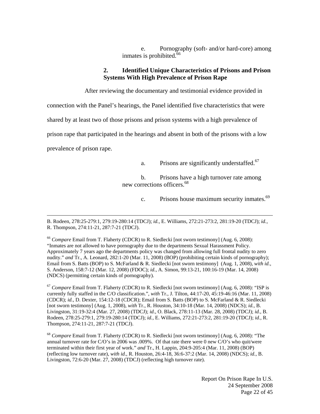e. Pornography (soft- and/or hard-core) among inmates is prohibited.<sup>66</sup>

#### **2. Identified Unique Characteristics of Prisons and Prison Systems With High Prevalence of Prison Rape**

After reviewing the documentary and testimonial evidence provided in

connection with the Panel's hearings, the Panel identified five characteristics that were

shared by at least two of those prisons and prison systems with a high prevalence of

prison rape that participated in the hearings and absent in both of the prisons with a low

prevalence of prison rape.

a. Prisons are significantly understaffed.<sup>67</sup>

 b. Prisons have a high turnover rate among new corrections officers.68

c. Prisons house maximum security inmates.<sup>69</sup>

 B. Rodeen, 278:25-279:1, 279:19-280:14 (TDCJ); *id.*, E. Williams, 272:21-273:2, 281:19-20 (TDCJ); *id.*, R. Thompson, 274:11-21, 287:7-21 (TDCJ).

<sup>66</sup> *Compare* Email from T. Flaherty (CDCR) to R. Siedlecki [not sworn testimony] (Aug. 6, 2008): "Inmates are not allowed to have pornography due to the departments Sexual Harassment Policy. Approximately 7 years ago the departments policy was changed from allowing full frontal nudity to zero nudity." *and* Tr., A. Leonard, 282:1-20 (Mar. 11, 2008) (BOP) (prohibiting certain kinds of pornography); Email from S. Batts (BOP) to S. McFarland & R. Siedlecki [not sworn testimony] (Aug. 1, 2008), *with id.*, S. Anderson, 158:7-12 (Mar. 12, 2008) (FDOC); *id.*, A. Simon, 99:13-21, 100:16-19 (Mar. 14, 2008) (NDCS) (permitting certain kinds of pornography).

<sup>67</sup> *Compare* Email from T. Flaherty (CDCR) to R. Siedlecki [not sworn testimony] (Aug. 6, 2008): "ISP is currently fully staffed in the C/O classification.", *with* Tr., J. Tilton, 44:17-20, 45:19-46:16 (Mar. 11, 2008) (CDCR); *id.*, D. Dexter, 154:12-18 (CDCR); Email from S. Batts (BOP) to S. McFarland & R. Siedlecki [not sworn testimony] (Aug. 1, 2008), *with* Tr., R. Houston, 34:10-18 (Mar. 14, 2008) (NDCS); *id.*, B. Livingston, 31:19-32:4 (Mar. 27, 2008) (TDCJ); *id.*, O. Black, 278:11-13 (Mar. 28, 2008) (TDCJ); *id.*, B. Rodeen, 278:25-279:1, 279:19-280:14 (TDCJ); *id.*, E. Williams, 272:21-273:2, 281:19-20 (TDCJ); *id.*, R. Thompson, 274:11-21, 287:7-21 (TDCJ).

<sup>68</sup> *Compare* Email from T. Flaherty (CDCR) to R. Siedlecki [not sworn testimony] (Aug. 6, 2008): "The annual turnover rate for C/O's in 2006 was .009%. Of that rate there were 0 new C/O's who quit/were terminated within their first year of work." *and* Tr., H. Lappin, 204:9-205:4 (Mar. 11, 2008) (BOP) (reflecting low turnover rate), *with id.*, R. Houston, 26:4-18, 36:6-37:2 (Mar. 14, 2008) (NDCS); *id.*, B. Livingston, 72:6-20 (Mar. 27, 2008) (TDCJ) (reflecting high turnover rate).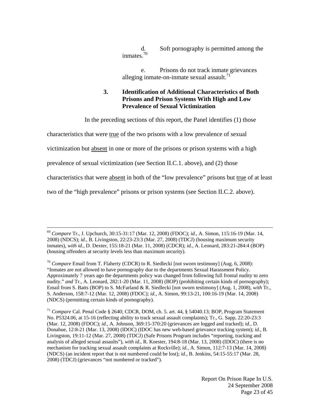d. Soft pornography is permitted among the inmates.70

 e. Prisons do not track inmate grievances alleging inmate-on-inmate sexual assault.<sup>71</sup>

## **3. Identification of Additional Characteristics of Both Prisons and Prison Systems With High and Low Prevalence of Sexual Victimization**

In the preceding sections of this report, the Panel identifies (1) those

characteristics that were true of the two prisons with a low prevalence of sexual

victimization but absent in one or more of the prisons or prison systems with a high

prevalence of sexual victimization (see Section II.C.1. above), and (2) those

characteristics that were absent in both of the "low prevalence" prisons but true of at least

two of the "high prevalence" prisons or prison systems (see Section II.C.2. above).

 <sup>69</sup> *Compare* Tr., J. Upchurch, 30:15-31:17 (Mar. 12, 2008) (FDOC); *id.*, A. Simon, 115:16-19 (Mar. 14, 2008) (NDCS); *id.*, B. Livingston, 22:23-23:3 (Mar. 27, 2008) (TDCJ) (housing maximum security inmates), *with id.*, D. Dexter, 155:18-21 (Mar. 11, 2008) (CDCR); *id.*, A. Leonard, 283:21-284:4 (BOP) (housing offenders at security levels less than maximum security).

<sup>&</sup>lt;sup>70</sup> *Compare* Email from T. Flaherty (CDCR) to R. Siedlecki [not sworn testimony] (Aug. 6, 2008): "Inmates are not allowed to have pornography due to the departments Sexual Harassment Policy. Approximately 7 years ago the departments policy was changed from following full frontal nudity to zero nudity." *and* Tr., A. Leonard, 282:1-20 (Mar. 11, 2008) (BOP) (prohibiting certain kinds of pornography); Email from S. Batts (BOP) to S. McFarland & R. Siedlecki [not sworn testimony] (Aug. 1, 2008), *with* Tr., S. Anderson, 158:7-12 (Mar. 12, 2008) (FDOC); *id.*, A. Simon, 99:13-21, 100:16-19 (Mar. 14, 2008) (NDCS) (permitting certain kinds of pornography).

<sup>71</sup> *Compare* Cal. Penal Code § 2640; CDCR, DOM, ch. 5. art. 44, § 54040.13; BOP, Program Statement No. P5324.06, at 15-16 (reflecting ability to track sexual assault complaints); Tr., G. Sapp, 22:20-23:3 (Mar. 12, 2008) (FDOC); *id.*, A. Johnson, 369:15-370:20 (grievances are logged and tracked); *id.*, D. Donahue, 12:8-21 (Mar. 13, 2008) (IDOC) (IDOC has new web-based grievance tracking system); *id.*, B. Livingston, 19:11-12 (Mar. 27, 2008) (TDCJ) (Safe Prisons Program includes "reporting, tracking and analysis of alleged sexual assaults"), *with id.*, R. Koester, 194:8-18 (Mar. 13, 2008) (IDOC) (there is no mechanism for tracking sexual assault complaints at Rockville); *id.*, A. Simon, 112:7-13 (Mar. 14, 2008) (NDCS) (an incident report that is not numbered could be lost); *id.*, B. Jenkins, 54:15-55:17 (Mar. 28, 2008) (TDCJ) (grievances "not numbered or tracked").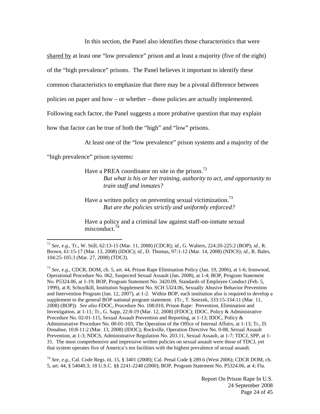In this section, the Panel also identifies those characteristics that were

shared by at least one "low prevalence" prison and at least a majority (five of the eight)

of the "high prevalence" prisons. The Panel believes it important to identify these

common characteristics to emphasize that there may be a pivotal difference between

policies on paper and how – or whether – those policies are actually implemented.

Following each factor, the Panel suggests a more probative question that may explain

how that factor can be true of both the "high" and "low" prisons.

At least one of the "low prevalence" prison systems and a majority of the

"high prevalence" prison systems**:**

 $\overline{a}$ 

Have a PREA coordinator on site in the prison.<sup>72</sup> *But what is his or her training, authority to act, and opportunity to train staff and inmates?*

Have a written policy on preventing sexual victimization.<sup>73</sup> *But are the policies strictly and uniformly enforced?* 

Have a policy and a criminal law against staff-on-inmate sexual misconduct. $74$ 

<sup>73</sup> *See, e.g.*, CDCR, DOM, ch. 5, art. 44, Prison Rape Elimination Policy (Jan. 19, 2006), at 1-6; Ironwood, Operational Procedure No. 062, Suspected Sexual Assault (Jan. 2008), at 1-4; BOP, Program Statement No. P5324.06, at 1-19; BOP, Program Statement No. 3420.09, Standards of Employee Conduct (Feb. 5, 1999), at 8; Schuylkill, Institution Supplement No. SCH 5324.06, Sexually Abusive Behavior Prevention and Intervention Program (Jan. 12, 2007), at 1-2. Within BOP, each institution also is required to develop a supplement to the general BOP national program statement. (Tr., T. Sniezek, 333:15-334:11 (Mar. 11, 2008) (BOP)). *See also* FDOC, Procedure No. 108.010, Prison Rape: Prevention, Elimination and Investigation, at 1-11; Tr., G. Sapp, 22:8-19 (Mar. 12, 2008) (FDOC); IDOC, Policy & Administrative Procedure No. 02-01-115, Sexual Assault Prevention and Reporting, at 1-13; IDOC, Policy & Administrative Procedure No. 00-01-103, The Operation of the Office of Internal Affairs, at 1-13; Tr., D. Donahue, 10:8-11:2 (Mar. 13, 2008) (IDOC); Rockville, Operation Directive No. 0-08, Sexual Assault Prevention, at 1-3; NDCS, Administrative Regulation No. 203.11, Sexual Assault, at 1-7; TDCJ, SPP, at 1- 31. The most comprehensive and impressive written policies on sexual assault were those of TDCJ, yet that system operates five of America's ten facilities with the highest prevalence of sexual assault.

<sup>74</sup> *See, e.g.*, Cal. Code Regs. tit. 15, § 3401 (2008); Cal. Penal Code § 289.6 (West 2006); CDCR DOM, ch. 5, art. 44, § 54040.3; 18 U.S.C. §§ 2241-2248 (2000); BOP, Program Statement No. P5324.06, at 4; Fla.

<sup>72</sup> *See, e.g.*, Tr., W. Still, 62:13-15 (Mar. 11, 2008) (CDCR); *id.*, G. Walters, 224:20-225:2 (BOP); *id.*, R. Brown, 61:15-17 (Mar. 13, 2008) (IDOC); *id.*, D. Thomas, 97:1-12 (Mar. 14, 2008) (NDCS); *id.*, R. Bales, 104:25-105:3 (Mar. 27, 2008) (TDCJ).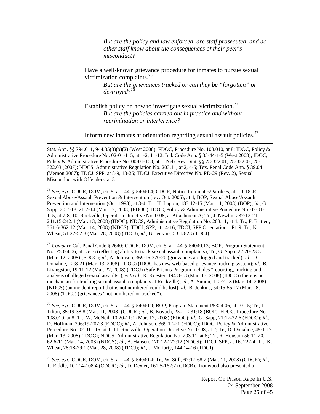*But are the policy and law enforced, are staff prosecuted, and do other staff know about the consequences of their peer's misconduct?* 

Have a well-known grievance procedure for inmates to pursue sexual victimization complaints.75

*But are the grievances tracked or can they be "forgotten" or*  destroyed?<sup>76</sup>

Establish policy on how to investigate sexual victimization.<sup>77</sup> *But are the policies carried out in practice and without recrimination or interference?* 

Inform new inmates at orientation regarding sexual assault policies.78

Stat. Ann. §§ 794.011, 944.35(3)(b)(2) (West 2008); FDOC, Procedure No. 108.010, at 8; IDOC, Policy & Administrative Procedure No. 02-01-115, at 1-2, 11-12; Ind. Code Ann. § 35-44-1-5 (West 2008); IDOC, Policy & Administrative Procedure No. 00-01-103, at 1; Neb. Rev. Stat. §§ 28-322.01, 28-322.02, 28- 322.03 (2007); NDCS, Administrative Regulation No. 203.11, at 2, 4-6; Tex. Penal Code Ann. § 39.04 (Vernon 2007); TDCJ, SPP, at 8-9, 13-26; TDCJ, Executive Directive No. PD-29 (Rev. 2), Sexual Misconduct with Offenders, at 3.

1

<sup>75</sup> *See, e.g.*, CDCR, DOM, ch. 5, art. 44, § 54040.4; CDCR, Notice to Inmates/Parolees, at 1; CDCR, Sexual Abuse/Assault Prevention & Intervention (rev. Oct. 2005), at 4; BOP, Sexual Abuse/Assault Prevention and Intervention (Oct. 1998), at 3-4; Tr., H. Lappin, 183:12-15 (Mar. 11, 2008) (BOP); *id.*, G. Sapp, 20:7-18, 21:7-14 (Mar. 12, 2008) (FDOC); IDOC, Policy & Administrative Procedure No. 02-01- 115, at 7-8, 10; Rockville, Operation Directive No. 0-08, at Attachment A; Tr., J. Newlin, 237:12-21, 241:15-242:4 (Mar. 13, 2008) (IDOC); NDCS, Administrative Regulation No. 203.11, at 4; Tr., F. Britten, 361:6-362:12 (Mar. 14, 2008) (NDCS); TDCJ, SPP, at 14-16; TDCJ, SPP Orientation – Pt. 9; Tr., K. Wheat, 51:22-52:8 (Mar. 28, 2008) (TDCJ); *id.*, B. Jenkins, 53:13-23 (TDCJ).

<sup>76</sup> *Compare* Cal. Penal Code § 2640; CDCR, DOM, ch. 5. art. 44, § 54040.13; BOP, Program Statement No. P5324.06, at 15-16 (reflecting ability to track sexual assault complaints); Tr., G. Sapp, 22:20-23:3 (Mar. 12, 2008) (FDOC); *id.*, A. Johnson, 369:15-370:20 (grievances are logged and tracked); *id.*, D. Donahue, 12:8-21 (Mar. 13, 2008) (IDOC) (IDOC has new web-based grievance tracking system); *id.*, B. Livingston, 19:11-12 (Mar. 27, 2008) (TDCJ) (Safe Prisons Program includes "reporting, tracking and analysis of alleged sexual assaults"), *with id.*, R. Koester, 194:8-18 (Mar. 13, 2008) (IDOC) (there is no mechanism for tracking sexual assault complaints at Rockville); *id.*, A. Simon, 112:7-13 (Mar. 14, 2008) (NDCS) (an incident report that is not numbered could be lost); *id.*, B. Jenkins, 54:15-55:17 (Mar. 28, 2008) (TDCJ) (grievances "not numbered or tracked").

<sup>77</sup> *See, e.g.*, CDCR, DOM, ch. 5, art. 44, § 54040.9; BOP, Program Statement P5324.06, at 10-15; Tr., J. Tilton, 35:19-38:8 (Mar. 11, 2008) (CDCR); *id.*, B. Kovach, 230:1-231:18 (BOP); FDOC, Procedure No. 108.010, at 8; Tr., W. McNeil, 10:20-11:1 (Mar. 12, 2008) (FDOC); *id.*, G. Sapp, 21:17-22:6 (FDOC); *id.*, D. Hoffman, 206:19-207:3 (FDOC); *id.*, A. Johnson, 369:17-21 (FDOC); IDOC, Policy & Administrative Procedure No. 02-01-115, at 1, 11; Rockville, Operation Directive No. 0-08, at 2; Tr., D. Donahue, 45:1-17 (Mar. 13, 2008) (IDOC); NDCS, Administrative Regulation No. 203.11, at 5; Tr., R. Houston 56:11-20, 62:6-11 (Mar. 14, 2008) (NDCS); *id.*, B. Hansen, 170:12-172:12 (NDCS); TDCJ, SPP, at 16, 22-24; Tr., K. Wheat, 28:18-29:1 (Mar. 28, 2008) (TDCJ); *id.*, J. Moriarty, 144:14-16 (TDCJ).

<sup>78</sup> *See, e.g.*, CDCR, DOM, ch. 5, art. 44, § 54040.4; Tr., W. Still, 67:17-68:2 (Mar. 11, 2008) (CDCR); *id.*, T. Riddle, 107:14-108:4 (CDCR); *id.*, D. Dexter, 161:5-162:2 (CDCR). Ironwood also presented a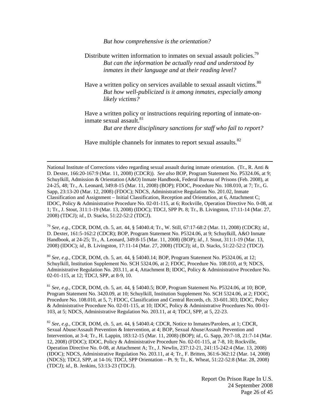*But how comprehensive is the orientation?* 

Distribute written information to inmates on sexual assault policies.<sup>79</sup> *But can the information be actually read and understood by inmates in their language and at their reading level?* 

Have a written policy on services available to sexual assault victims.<sup>80</sup> *But how well-publicized is it among inmates, especially among likely victims?*

Have a written policy or instructions requiring reporting of inmate-oninmate sexual assault.<sup>81</sup>

*But are there disciplinary sanctions for staff who fail to report?*

Have multiple channels for inmates to report sexual assaults.<sup>82</sup>

 National Institute of Corrections video regarding sexual assault during inmate orientation. (Tr., R. Anti & D. Dexter, 166:20-167:9 (Mar. 11, 2008) (CDCR)). *See also* BOP, Program Statement No. P5324.06, at 9; Schuylkill, Admission & Orientation (A&O) Inmate Handbook, Federal Bureau of Prisons (Feb. 2008), at 24-25, 48; Tr., A. Leonard, 349:8-15 (Mar. 11, 2008) (BOP); FDOC, Procedure No. 108.010, at 7; Tr., G. Sapp, 23:13-20 (Mar. 12, 2008) (FDOC); NDCS, Administrative Regulation No. 201.02, Inmate Classification and Assignment – Initial Classification, Reception and Orientation, at 6, Attachment C; IDOC, Policy & Administrative Procedure No. 02-01-115, at 6; Rockville, Operation Directive No. 0-08, at 1; Tr., J. Stout, 311:1-19 (Mar. 13, 2008) (IDOC); TDCJ, SPP Pt. 8; Tr., B. Livingston, 17:11-14 (Mar. 27, 2008) (TDCJ); *id.*, D. Stacks, 51:22-52:2 (TDCJ).

<sup>79</sup> *See, e.g.*, CDCR, DOM, ch. 5, art. 44, § 54040.4; Tr., W. Still, 67:17-68:2 (Mar. 11, 2008) (CDCR); *id.*, D. Dexter, 161:5-162:2 (CDCR); BOP, Program Statement No. P5324.06, at 9; Schuylkill, A&O Inmate Handbook, at 24-25; Tr., A. Leonard, 349:8-15 (Mar. 11, 2008) (BOP); *id.*, J. Stout, 311:1-19 (Mar. 13, 2008) (IDOC); *id.*, B. Livingston, 17:11-14 (Mar. 27, 2008) (TDCJ); *id.*, D. Stacks, 51:22-52:2 (TDCJ).

<sup>80</sup> *See, e.g.,* CDCR, DOM, ch. 5, art. 44, § 54040.14; BOP, Program Statement No. P5324.06, at 12; Schuylkill, Institution Supplement No. SCH 5324.06, at 2; FDOC, Procedure No. 108.010, at 9; NDCS, Administrative Regulation No. 203.11, at 4, Attachment B; IDOC, Policy & Administrative Procedure No. 02-01-115, at 12; TDCJ, SPP, at 8-9, 10.

<sup>81</sup> *See, e.g.*, CDCR, DOM, ch. 5, art. 44, § 54040.5; BOP, Program Statement No. P5324.06, at 10; BOP, Program Statement No. 3420.09, at 10; Schuylkill, Institution Supplement No. SCH 5324.06, at 2; FDOC, Procedure No. 108.010, at 5, 7; FDOC, Classification and Central Records, ch. 33-601.303; IDOC, Policy & Administrative Procedure No. 02-01-115, at 10; IDOC, Policy & Administrative Procedures No. 00-01- 103, at 5; NDCS, Administrative Regulation No. 203.11, at 4; TDCJ, SPP, at 5, 22-23.

<sup>82</sup> *See, e.g.*, CDCR, DOM, ch. 5, art. 44, § 54040.4; CDCR, Notice to Inmates/Parolees, at 1; CDCR, Sexual Abuse/Assault Prevention & Intervention, at 4; BOP, Sexual Abuse/Assault Prevention and Intervention, at 3-4; Tr., H. Lappin, 183:12-15 (Mar. 11, 2008) (BOP); *id.*, G. Sapp, 20:7-18, 21:7-14 (Mar. 12, 2008) (FDOC); IDOC, Policy & Administrative Procedure No. 02-01-115, at 7-8, 10; Rockville, Operation Directive No. 0-08, at Attachment A; Tr., J. Newlin, 237:12-21, 241:15-242:4 (Mar. 13, 2008) (IDOC); NDCS, Administrative Regulation No. 203.11, at 4; Tr., F. Britten, 361:6-362:12 (Mar. 14, 2008) (NDCS); TDCJ, SPP, at 14-16; TDCJ, SPP Orientation – Pt. 9; Tr., K. Wheat, 51:22-52:8 (Mar. 28, 2008) (TDCJ); *id.*, B. Jenkins, 53:13-23 (TDCJ).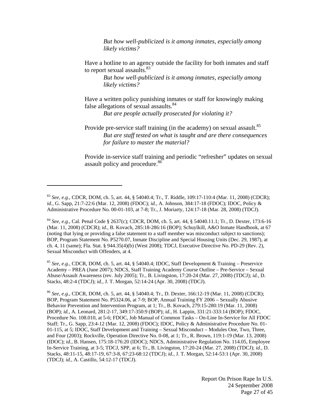*But how well-publicized is it among inmates, especially among likely victims?*

Have a hotline to an agency outside the facility for both inmates and staff to report sexual assaults.<sup>83</sup>

> *But how well-publicized is it among inmates, especially among likely victims?*

Have a written policy punishing inmates or staff for knowingly making false allegations of sexual assaults. $84$ 

*But are people actually prosecuted for violating it?* 

Provide pre-service staff training (in the academy) on sexual assault.<sup>85</sup> *But are staff tested on what is taught and are there consequences for failure to master the material?* 

Provide in-service staff training and periodic "refresher" updates on sexual assault policy and procedure.<sup>86</sup>

 $\overline{a}$ 

<sup>85</sup> *See, e.g.*, CDCR, DOM, ch. 5, art. 44, § 54040.4; IDOC, Staff Development & Training – Preservice Academy – PREA (June 2007); NDCS, Staff Training Academy Course Outline – Pre-Service – Sexual Abuse/Assault Awareness (rev. July 2005); Tr., B. Livingston, 17:20-24 (Mar. 27, 2008) (TDCJ); *id.*, D. Stacks, 48:2-4 (TDCJ); *id.*, J. T. Morgan, 52:14-24 (Apr. 30, 2008) (TDCJ).

<sup>86</sup> *See, e.g.*, CDCR, DOM, ch. 5, art. 44, § 54040.4; Tr., D. Dexter, 166:12-19 (Mar. 11, 2008) (CDCR); BOP, Program Statement No. P5324.06, at 7-9; BOP, Annual Training FY 2006 – Sexually Abusive Behavior Prevention and Intervention Program, at 1; Tr., B. Kovach, 279:15-280:19 (Mar. 11, 2008) (BOP); *id.*, A. Leonard, 281:2-17, 349:17-350:9 (BOP); *id.*, H. Lappin, 331:21-333:14 (BOP); FDOC, Procedure No. 108.010, at 5-6; FDOC, Job Manual of Common Tasks – On-Line In-Service for All FDOC Staff; Tr., G. Sapp, 23:4-12 (Mar. 12, 2008) (FDOC); IDOC, Policy & Administrative Procedure No. 01- 01-115, at 5; IDOC, Staff Development and Training – Sexual Misconduct – Modules One, Two, Three, and Four (2003); Rockville, Operation Directive No. 0-08, at 1; Tr., R. Brown, 119:1-19 (Mar. 13, 2008) (IDOC); *id.*, B. Hansen, 175:18-176:20 (IDOC); NDCS, Administrative Regulation No. 114.05, Employee In-Service Training, at 3-5; TDCJ, SPP, at 6; Tr., B. Livingston, 17:20-24 (Mar. 27, 2008) (TDCJ); *id.*, D. Stacks, 48:11-15, 48:17-19, 67:3-8, 67:23-68:12 (TDCJ); *id.*, J. T. Morgan, 52:14-53:1 (Apr. 30, 2008) (TDCJ); *id.*, A. Castillo, 54:12-17 (TDCJ).

<sup>83</sup> *See, e.g.*, CDCR, DOM, ch. 5, art. 44, § 54040.4; Tr., T. Riddle, 109:17-110:4 (Mar. 11, 2008) (CDCR); *id.*, G. Sapp, 21:7-22:6 (Mar. 12, 2008) (FDOC); *id.*, A. Johnson, 384:17-18 (FDOC); IDOC, Policy & Administrative Procedure No. 00-01-103, at 7-8; Tr., J. Moriarty, 124:17-18 (Mar. 28, 2008) (TDCJ).

<sup>84</sup> *See, e.g.*, Cal. Penal Code § 2637(c); CDCR, DOM, ch. 5, art. 44, § 54040.11.1; Tr., D. Dexter, 173:6-16 (Mar. 11, 2008) (CDCR); *id.*, B. Kovach, 285:18-286:16 (BOP); Schuylkill, A&O Inmate Handbook, at 67 (noting that lying or providing a false statement to a staff member was misconduct subject to sanctions); BOP, Program Statement No. P5270.07, Inmate Discipline and Special Housing Units (Dec. 29, 1987), at ch. 4, 11 (same); Fla. Stat. § 944.35(4)(b) (West 2008); TDCJ, Executive Directive No. PD-29 (Rev. 2), Sexual Misconduct with Offenders, at 4.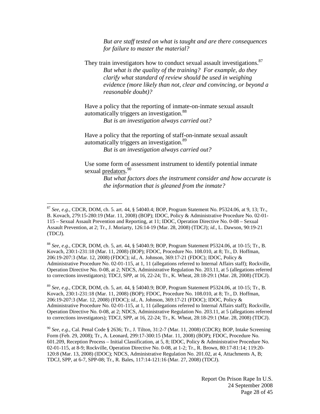*But are staff tested on what is taught and are there consequences for failure to master the material?* 

They train investigators how to conduct sexual assault investigations.<sup>87</sup> *But what is the quality of the training? For example, do they clarify what standard of review should be used in weighing evidence (more likely than not, clear and convincing, or beyond a reasonable doubt)?*

Have a policy that the reporting of inmate-on-inmate sexual assault automatically triggers an investigation.<sup>88</sup>

*But is an investigation always carried out?* 

Have a policy that the reporting of staff-on-inmate sexual assault automatically triggers an investigation.89

*But is an investigation always carried out?* 

Use some form of assessment instrument to identify potential inmate sexual <u>predators</u>.<sup>90</sup>

> *But what factors does the instrument consider and how accurate is the information that is gleaned from the inmate?*

 $\overline{a}$ 

<sup>88</sup> *See, e.g.*, CDCR, DOM, ch. 5, art. 44, § 54040.9; BOP, Program Statement P5324.06, at 10-15; Tr., B. Kovach, 230:1-231:18 (Mar. 11, 2008) (BOP); FDOC, Procedure No. 108.010, at 8; Tr., D. Hoffman, 206:19-207:3 (Mar. 12, 2008) (FDOC); *id.*, A. Johnson, 369:17-21 (FDOC); IDOC, Policy & Administrative Procedure No. 02-01-115, at 1, 11 (allegations referred to Internal Affairs staff); Rockville, Operation Directive No. 0-08, at 2; NDCS, Administrative Regulation No. 203.11, at 5 (allegations referred to corrections investigators); TDCJ, SPP, at 16, 22-24; Tr., K. Wheat, 28:18-29:1 (Mar. 28, 2008) (TDCJ).

<sup>89</sup> *See, e.g.*, CDCR, DOM, ch. 5, art. 44, § 54040.9; BOP, Program Statement P5324.06, at 10-15; Tr., B. Kovach, 230:1-231:18 (Mar. 11, 2008) (BOP); FDOC, Procedure No. 108.010, at 8; Tr., D. Hoffman, 206:19-207:3 (Mar. 12, 2008) (FDOC); *id.*, A. Johnson, 369:17-21 (FDOC); IDOC, Policy & Administrative Procedure No. 02-01-115, at 1, 11 (allegations referred to Internal Affairs staff); Rockville, Operation Directive No. 0-08, at 2; NDCS, Administrative Regulation No. 203.11, at 5 (allegations referred to corrections investigators); TDCJ, SPP, at 16, 22-24; Tr., K. Wheat, 28:18-29:1 (Mar. 28, 2008) (TDCJ).

<sup>90</sup> *See, e.g.*, Cal. Penal Code § 2636; Tr., J. Tilton, 31:2-7 (Mar. 11, 2008) (CDCR); BOP, Intake Screening Form (Feb. 29, 2008); Tr., A. Leonard, 299:17-300:15 (Mar. 11, 2008) (BOP); FDOC, Procedure No. 601.209, Reception Process – Initial Classification, at 5, 8; IDOC, Policy & Administrative Procedure No. 02-01-115, at 8-9; Rockville, Operation Directive No. 0-08, at 1-2; Tr., R. Brown, 80:17-81:14; 119:20- 120:8 (Mar. 13, 2008) (IDOC); NDCS, Administrative Regulation No. 201.02, at 4, Attachments A, B; TDCJ, SPP, at 6-7, SPP-08; Tr., R. Bales, 117:14-121:16 (Mar. 27, 2008) (TDCJ).

<sup>87</sup> *See, e.g.*, CDCR, DOM, ch. 5. art. 44, § 54040.4; BOP, Program Statement No. P5324.06, at 9, 13; Tr., B. Kovach, 279:15-280:19 (Mar. 11, 2008) (BOP); IDOC, Policy & Administrative Procedure No. 02-01- 115 – Sexual Assault Prevention and Reporting, at 11; IDOC, Operation Directive No. 0-08 – Sexual Assault Prevention, at 2; Tr., J. Moriarty, 126:14-19 (Mar. 28, 2008) (TDCJ); *id.*, L. Dawson, 90:19-21 (TDCJ).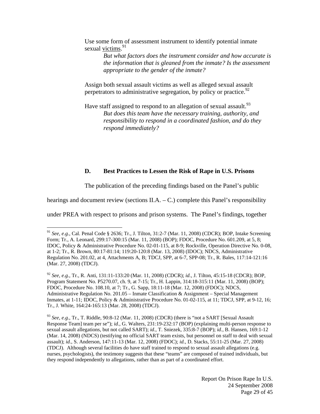Use some form of assessment instrument to identify potential inmate sexual victims.<sup>91</sup>

> *But what factors does the instrument consider and how accurate is the information that is gleaned from the inmate? Is the assessment appropriate to the gender of the inmate?*

Assign both sexual assault victims as well as alleged sexual assault perpetrators to administrative segregation, by policy or practice.  $92$ 

Have staff assigned to respond to an allegation of sexual assault.<sup>93</sup> *But does this team have the necessary training, authority, and responsibility to respond in a coordinated fashion, and do they respond immediately?*

#### **D. Best Practices to Lessen the Risk of Rape in U.S. Prisons**

The publication of the preceding findings based on the Panel's public

hearings and document review (sections II.A. – C.) complete this Panel's responsibility

under PREA with respect to prisons and prison systems. The Panel's findings, together

<sup>91</sup> *See, e.g.*, Cal. Penal Code § 2636; Tr., J. Tilton, 31:2-7 (Mar. 11, 2008) (CDCR); BOP, Intake Screening Form; Tr., A. Leonard, 299:17-300:15 (Mar. 11, 2008) (BOP); FDOC, Procedure No. 601.209, at 5, 8; IDOC, Policy & Administrative Procedure No. 02-01-115, at 8-9; Rockville, Operation Directive No. 0-08, at 1-2; Tr., R. Brown, 80:17-81:14; 119:20-120:8 (Mar. 13, 2008) (IDOC); NDCS, Administrative Regulation No. 201.02, at 4, Attachments A, B; TDCJ, SPP, at 6-7, SPP-08; Tr., R. Bales, 117:14-121:16 (Mar. 27, 2008) (TDCJ).

<sup>92</sup> *See, e.g.*, Tr., R. Anti, 131:11-133:20 (Mar. 11, 2008) (CDCR); *id.*, J. Tilton, 45:15-18 (CDCR); BOP, Program Statement No. P5270.07, ch. 9, at 7-15; Tr., H. Lappin, 314:18-315:11 (Mar. 11, 2008) (BOP); FDOC, Procedure No. 108.10, at 7; Tr., G. Sapp, 18:11-18 (Mar. 12, 2008) (FDOC); NDCS, Administrative Regulation No. 201.05 – Inmate Classification & Assignment – Special Management Inmates, at 1-11; IDOC, Policy & Administrative Procedure No. 01-02-115, at 11; TDCJ, SPP, at 9-12, 16; Tr., J. White, 164:24-165:13 (Mar. 28, 2008) (TDCJ).

<sup>93</sup> *See, e.g.*, Tr., T. Riddle, 90:8-12 (Mar. 11, 2008) (CDCR) (there is "not a SART [Sexual Assault Response Team] team per se"); *id.*, G. Walters, 231:19-232:17 (BOP) (explaining multi-person response to sexual assault allegations, but not called SART); *id.*, T. Sniezek, 335:8-7 (BOP); *id.*, B. Hansen, 169:1-12 (Mar. 14, 2008) (NDCS) (testifying no official SART team exists, but personnel on staff to deal with sexual assault); *id.*, S. Anderson, 147:11-13 (Mar. 12, 2008) (FDOC); *id.*, D. Stacks, 55:11-25 (Mar. 27, 2008) (TDCJ). Although several facilities do have staff trained to respond to sexual assault allegations (e.g. nurses, psychologists), the testimony suggests that these "teams" are composed of trained individuals, but they respond independently to allegations, rather than as part of a coordinated effort.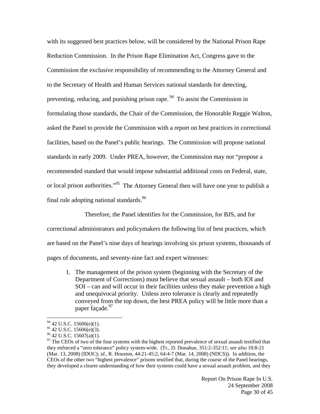with its suggested best practices below, will be considered by the National Prison Rape Reduction Commission. In the Prison Rape Elimination Act, Congress gave to the Commission the exclusive responsibility of recommending to the Attorney General and to the Secretary of Health and Human Services national standards for detecting, preventing, reducing, and punishing prison rape. 94 To assist the Commission in formulating those standards, the Chair of the Commission, the Honorable Reggie Walton, asked the Panel to provide the Commission with a report on best practices in correctional facilities, based on the Panel's public hearings. The Commission will propose national standards in early 2009. Under PREA, however, the Commission may not "propose a recommended standard that would impose substantial additional costs on Federal, state, or local prison authorities."<sup>95</sup> The Attorney General then will have one year to publish a final rule adopting national standards.  $96$ 

Therefore, the Panel identifies for the Commission, for BJS, and for correctional administrators and policymakers the following list of best practices, which are based on the Panel's nine days of hearings involving six prison systems, thousands of pages of documents, and seventy-nine fact and expert witnesses:

1. The management of the prison system (beginning with the Secretary of the Department of Corrections) must believe that sexual assault – both IOI and SOI – can and will occur in their facilities unless they make prevention a high and unequivocal priority. Unless zero tolerance is clearly and repeatedly conveyed from the top down, the best PREA policy will be little more than a paper façade.<sup>97</sup>

 $94$  42 U.S.C. 15606(e)(1).

 $95$  42 U.S.C. 15606(e)(3).

 $96$  42 U.S.C. 15607(a)(1).

<sup>&</sup>lt;sup>97</sup> The CEOs of two of the four systems with the highest reported prevalence of sexual assault testified that they enforced a "zero tolerance" policy system-wide. (Tr., D. Donahue, 351:2-352:11; *see also* 10:8-21 (Mar. 13, 2008) (IDOC); *id.*, R. Houston, 44:21-45:2, 64:4-7 (Mar. 14, 2008) (NDCS)). In addition, the CEOs of the other two "highest prevalence" prisons testified that, during the course of the Panel hearings, they developed a clearer understanding of how their systems could have a sexual assault problem, and they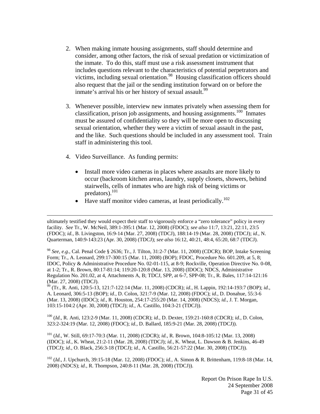- 2. When making inmate housing assignments, staff should determine and consider, among other factors, the risk of sexual predation or victimization of the inmate. To do this, staff must use a risk assessment instrument that includes questions relevant to the characteristics of potential perpetrators and victims, including sexual orientation.<sup>98</sup> Housing classification officers should also request that the jail or the sending institution forward on or before the inmate's arrival his or her history of sexual assault.<sup>99</sup>
- 3. Whenever possible, interview new inmates privately when assessing them for classification, prison job assignments, and housing assignments.<sup>100</sup> Inmates must be assured of confidentiality so they will be more open to discussing sexual orientation, whether they were a victim of sexual assault in the past, and the like. Such questions should be included in any assessment tool. Train staff in administering this tool.
- 4. Video Surveillance. As funding permits:
	- Install more video cameras in places where assaults are more likely to occur (backroom kitchen areas, laundry, supply closets, showers, behind stairwells, cells of inmates who are high risk of being victims or predators).101
	- Have staff monitor video cameras, at least periodically.<sup>102</sup>

<sup>98</sup> *See, e.g.*, Cal. Penal Code § 2636; Tr., J. Tilton, 31:2-7 (Mar. 11, 2008) (CDCR); BOP, Intake Screening Form; Tr., A. Leonard, 299:17-300:15 (Mar. 11, 2008) (BOP); FDOC, Procedure No. 601.209, at 5, 8; IDOC, Policy & Administrative Procedure No. 02-01-115, at 8-9; Rockville, Operation Directive No. 0-08, at 1-2; Tr., R. Brown, 80:17-81:14; 119:20-120:8 (Mar. 13, 2008) (IDOC); NDCS, Administrative Regulation No. 201.02, at 4, Attachments A, B; TDCJ, SPP, at 6-7, SPP-08; Tr., R. Bales, 117:14-121:16 (Mar. 27, 2008) (TDCJ).

99 (Tr., R. Anti, 120:5-13, 121:7-122:14 (Mar. 11, 2008) (CDCR); *id.*, H. Lappin, 192:14-193:7 (BOP); *id.*, A. Leonard, 306:5-13 (BOP); *id.*, D. Colon, 321:7-9 (Mar. 12, 2008) (FDOC); *id.*, D. Donahue, 55:3-6 (Mar. 13, 2008) (IDOC); *id.*, R. Houston, 254:17-255:20 (Mar. 14, 2008) (NDCS); *id.*, J. T. Morgan, 103:15-104:2 (Apr. 30, 2008) (TDCJ); *id.*, A. Castillo, 104:3-21 (TDCJ)).

100 (*Id.*, R. Anti, 123:2-9 (Mar. 11, 2008) (CDCR); *id.*, D. Dexter, 159:21-160:8 (CDCR); *id.*, D. Colon, 323:2-324:19 (Mar. 12, 2008) (FDOC); *id.*, D. Ballard, 185:9-21 (Mar. 28, 2008) (TDCJ)).

101 (*Id.*, W. Still, 69:17-70:3 (Mar. 11, 2008) (CDCR); *id.*, R. Brown, 104:8-105:12 (Mar. 13, 2008) (IDOC); *id.*, K. Wheat, 21:2-11 (Mar. 28, 2008) (TDCJ); *id.*, K. Wheat, L. Dawson & B. Jenkins, 46-49 (TDCJ); *id.*, O. Black, 256:3-18 (TDCJ); *id.*, A. Castillo, 56:21-57:22 (Mar. 30, 2008) (TDCJ)).

102 (*Id.*, J. Upchurch, 39:15-18 (Mar. 12, 2008) (FDOC); *id.*, A. Simon & R. Brittenham, 119:8-18 (Mar. 14, 2008) (NDCS); *id.*, R. Thompson, 240:8-11 (Mar. 28, 2008) (TDCJ)).

ultimately testified they would expect their staff to vigorously enforce a "zero tolerance" policy in every facility. *See* Tr., W. McNeil, 389:1-395:1 (Mar. 12, 2008) (FDOC); *see also* 11:7, 13:21, 22:11, 23:5 (FDOC); *id.*, B. Livingston, 16:9-14 (Mar. 27, 2008) (TDCJ), 188:14-19 (Mar. 28, 2008) (TDCJ); *id.*, N. Quarterman, 140:9-143:23 (Apr. 30, 2008) (TDCJ); *see also* 16:12, 40:21, 48:4, 65:20, 68:7 (TDCJ).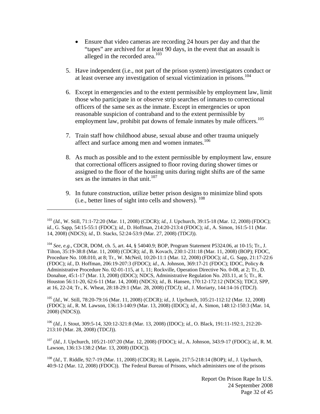- Ensure that video cameras are recording 24 hours per day and that the "tapes" are archived for at least 90 days, in the event that an assault is alleged in the recorded area.<sup>103</sup>
- 5. Have independent (i.e., not part of the prison system) investigators conduct or at least oversee any investigation of sexual victimization in prisons.<sup>104</sup>
- 6. Except in emergencies and to the extent permissible by employment law, limit those who participate in or observe strip searches of inmates to correctional officers of the same sex as the inmate. Except in emergencies or upon reasonable suspicion of contraband and to the extent permissible by employment law, prohibit pat downs of female inmates by male officers.<sup>105</sup>
- 7. Train staff how childhood abuse, sexual abuse and other trauma uniquely affect and surface among men and women inmates.<sup>106</sup>
- 8. As much as possible and to the extent permissible by employment law, ensure that correctional officers assigned to floor roving during shower times or assigned to the floor of the housing units during night shifts are of the same sex as the inmates in that unit.<sup>107</sup>
- 9. In future construction, utilize better prison designs to minimize blind spots (i.e., better lines of sight into cells and showers). 108

 $\overline{a}$ 

105 (*Id.*, W. Still, 78:20-79:16 (Mar. 11, 2008) (CDCR); *id.*, J. Upchurch, 105:21-112:12 (Mar. 12, 2008) (FDOC); *id.*, R. M. Lawson, 136:13-140:9 (Mar. 13, 2008) (IDOC); *id.*, A. Simon, 148:12-150:3 (Mar. 14, 2008) (NDCS)).

106 (*Id.*, J. Stout, 309:5-14, 320:12-321:8 (Mar. 13, 2008) (IDOC); *id.*, O. Black, 191:11-192:1, 212:20- 213:10 (Mar. 28, 2008) (TDCJ)).

107 (*Id.*, J. Upchurch, 105:21-107:20 (Mar. 12, 2008) (FDOC); *id.*, A. Johnson, 343:9-17 (FDOC); *id.*, R. M. Lawson, 136:13-138:2 (Mar. 13, 2008) (IDOC)).

108 (*Id.*, T. Riddle, 92:7-19 (Mar. 11, 2008) (CDCR); H. Lappin, 217:5-218:14 (BOP); *id.*, J. Upchurch, 40:9-12 (Mar. 12, 2008) (FDOC)). The Federal Bureau of Prisons, which administers one of the prisons

<sup>103 (</sup>*Id.*, W. Still, 71:1-72:20 (Mar. 11, 2008) (CDCR); *id.*, J. Upchurch, 39:15-18 (Mar. 12, 2008) (FDOC); *id.*, G. Sapp, 54:15-55:1 (FDOC); *id.*, D. Hoffman, 214:20-213:4 (FDOC); *id.*, A. Simon, 161:5-11 (Mar. 14, 2008) (NDCS); *id.*, D. Stacks, 52:24-53:9 (Mar. 27, 2008) (TDCJ)).

<sup>104</sup> *See, e.g.*, CDCR, DOM, ch. 5, art. 44, § 54040.9; BOP, Program Statement P5324.06, at 10-15; Tr., J. Tilton, 35:19-38:8 (Mar. 11, 2008) (CDCR); *id.*, B. Kovach, 230:1-231:18 (Mar. 11, 2008) (BOP); FDOC, Procedure No. 108.010, at 8; Tr., W. McNeil, 10:20-11:1 (Mar. 12, 2008) (FDOC); *id.*, G. Sapp, 21:17-22:6 (FDOC); *id.*, D. Hoffman, 206:19-207:3 (FDOC); *id.*, A. Johnson, 369:17-21 (FDOC); IDOC, Policy & Administrative Procedure No. 02-01-115, at 1, 11; Rockville, Operation Directive No. 0-08, at 2; Tr., D. Donahue, 45:1-17 (Mar. 13, 2008) (IDOC); NDCS, Administrative Regulation No. 203.11, at 5; Tr., R. Houston 56:11-20, 62:6-11 (Mar. 14, 2008) (NDCS); *id.*, B. Hansen, 170:12-172:12 (NDCS); TDCJ, SPP, at 16, 22-24; Tr., K. Wheat, 28:18-29:1 (Mar. 28, 2008) (TDCJ); *id.*, J. Moriarty, 144:14-16 (TDCJ).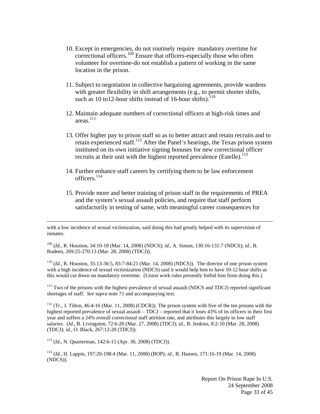- 10. Except in emergencies, do not routinely require mandatory overtime for correctional officers.<sup>109</sup> Ensure that officers-especially those who often volunteer for overtime-do not establish a pattern of working in the same location in the prison.
- 11. Subject to negotiation in collective bargaining agreements, provide wardens with greater flexibility in shift arrangements (e.g., to permit shorter shifts, such as 10 to12-hour shifts instead of 16-hour shifts). $110$
- 12. Maintain adequate numbers of correctional officers at high-risk times and areas. 111
- 13. Offer higher pay to prison staff so as to better attract and retain recruits and to retain experienced staff.<sup>112</sup> After the Panel's hearings, the Texas prison system instituted on its own initiative signing bonuses for new correctional officer recruits at their unit with the highest reported prevalence (Estelle).<sup>113</sup>
- 14. Further enhance staff careers by certifying them to be law enforcement officers.<sup>114</sup>
- 15. Provide more and better training of prison staff in the requirements of PREA and the system's sexual assault policies, and require that staff perform satisfactorily in testing of same, with meaningful career consequences for

109 (*Id.*, R. Houston, 34:10-18 (Mar. 14, 2008) (NDCS); *id.*, A. Simon, 130:16-131:7 (NDCS); *id.*, B. Rodeen, 269:25-270:13 (Mar. 28, 2008) (TDCJ)).

110 (*Id.*, R. Houston, 35:13-36:5, 83:7-84:21 (Mar. 14, 2008) (NDCS)). The director of one prison system with a high incidence of sexual victimization (NDCS) said it would help him to have 10-12 hour shifts as this would cut down on mandatory overtime. (Union work rules presently forbid him from doing this.)

<sup>111</sup> Two of the prisons with the highest prevalence of sexual assault (NDCS and TDCJ) reported significant shortages of staff. *See supra* note 71 and accompanying text.

 $112$  (Tr., J. Tilton, 46:4-16 (Mar. 11, 2008) (CDCR)). The prison system with five of the ten prisons with the highest reported prevalence of sexual assault – TDCJ – reported that it loses 43% of its officers in their first year and suffers a 24% overall correctional staff attrition rate, and attributes this largely to low staff salaries. (*Id.*, B. Livingston, 72:6-20 (Mar. 27, 2008) (TDCJ); *id.*, B. Jenkins, 8:2-10 (Mar. 28, 2008) (TDCJ); *id.*, O. Black, 267:12-20 (TDCJ)).

113 (*Id.*, N. Quarterman, 142:6-15 (Apr. 30, 2008) (TDCJ)).

114 (*Id.*, H. Lappin, 197:20-198:4 (Mar. 11, 2008) (BOP); *id.*, B. Hansen, 171:16-19 (Mar. 14, 2008) (NDCS)).

with a low incidence of sexual victimization, said doing this had greatly helped with its supervision of inmates.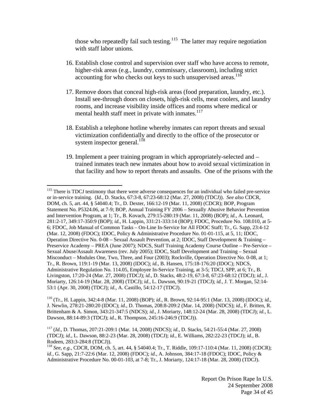those who repeatedly fail such testing.<sup>115</sup> The latter may require negotiation with staff labor unions.

- 16. Establish close control and supervision over staff who have access to remote, higher-risk areas (e.g., laundry, commissary, classroom), including strict accounting for who checks out keys to such unsupervised areas.<sup>116</sup>
- 17. Remove doors that conceal high-risk areas (food preparation, laundry, etc.). Install see-through doors on closets, high-risk cells, meat coolers, and laundry rooms, and increase visibility inside offices and rooms where medical or mental health staff meet in private with inmates. $117$
- 18. Establish a telephone hotline whereby inmates can report threats and sexual victimization confidentially and directly to the office of the prosecutor or system inspector general. $118$
- 19. Implement a peer training program in which appropriately-selected and trained inmates teach new inmates about how to avoid sexual victimization in that facility and how to report threats and assaults. One of the prisons with the

 $\overline{a}$ 

116 (Tr., H. Lappin, 342:4-8 (Mar. 11, 2008) (BOP); *id.*, R. Brown, 92:14-95:1 (Mar. 13, 2008) (IDOC); *id.*, J. Newlin, 278:21-280:20 (IDOC); *id.*, D. Thomas, 208:8-209:2 (Mar. 14, 2008) (NDCS); *id.*, F. Britten, R. Brittenham & A. Simon, 343:21-347:5 (NDCS); *id.*, J. Moriarty, 148:12-24 (Mar. 28, 2008) (TDCJ); *id.*, L. Dawson, 88:14-89:3 (TDCJ); *id.*, R. Thompson, 245:16-246:9 (TDCJ)).

117 (*Id.*, D. Thomas, 207:21-209:1 (Mar. 14, 2008) (NDCS); *id.*, D. Stacks, 54:21-55:4 (Mar. 27, 2008) (TDCJ); *id.*, L. Dawson, 88:2-23 (Mar. 28, 2008) (TDCJ); *id.*, E. Williams, 282:22-23 (TDCJ); *id.*, B. Rodeen, 283:3-284:8 (TDCJ)).

<sup>118</sup> *See, e.g.*, CDCR, DOM, ch. 5, art. 44, § 54040.4; Tr., T. Riddle, 109:17-110:4 (Mar. 11, 2008) (CDCR); *id.*, G. Sapp, 21:7-22:6 (Mar. 12, 2008) (FDOC); *id.*, A. Johnson, 384:17-18 (FDOC); IDOC, Policy & Administrative Procedure No. 00-01-103, at 7-8; Tr., J. Moriarty, 124:17-18 (Mar. 28, 2008) (TDCJ).

<sup>&</sup>lt;sup>115</sup> There is TDCJ testimony that there were adverse consequences for an individual who failed pre-service or in-service training. (*Id.*, D. Stacks, 67:3-8, 67:23-68:12 (Mar. 27, 2008) (TDCJ)). *See also* CDCR, DOM, ch. 5, art. 44, § 54040.4; Tr., D. Dexter, 166:12-19 (Mar. 11, 2008) (CDCR); BOP, Program Statement No. P5324.06, at 7-9; BOP, Annual Training FY 2006 – Sexually Abusive Behavior Prevention and Intervention Program, at 1; Tr., B. Kovach, 279:15-280:19 (Mar. 11, 2008) (BOP); *id.*, A. Leonard, 281:2-17, 349:17-350:9 (BOP); *id.*, H. Lappin, 331:21-333:14 (BOP); FDOC, Procedure No. 108.010, at 5- 6; FDOC, Job Manual of Common Tasks – On-Line In-Service for All FDOC Staff; Tr., G. Sapp, 23:4-12 (Mar. 12, 2008) (FDOC); IDOC, Policy & Administrative Procedure No. 01-01-115, at 5, 11; IDOC, Operation Directive No. 0-08 – Sexual Assault Prevention, at 2; IDOC, Staff Development & Training – Preservice Academy – PREA (June 2007); NDCS, Staff Training Academy Course Outline – Pre-Service – Sexual Abuse/Assault Awareness (rev. July 2005); IDOC, Staff Development and Training – Sexual Misconduct – Modules One, Two, Three, and Four (2003); Rockville, Operation Directive No. 0-08, at 1; Tr., R. Brown, 119:1-19 (Mar. 13, 2008) (IDOC); *id.*, B. Hansen, 175:18-176:20 (IDOC); NDCS, Administrative Regulation No. 114.05, Employee In-Service Training, at 3-5; TDCJ, SPP, at 6; Tr., B. Livingston, 17:20-24 (Mar. 27, 2008) (TDCJ); *id.*, D. Stacks, 48:2-19, 67:3-8, 67:23-68:12 (TDCJ); *id.*, J. Moriarty, 126:14-19 (Mar. 28, 2008) (TDCJ); *id.*, L. Dawson, 90:19-21 (TDCJ); *id.*, J. T. Morgan, 52:14- 53:1 (Apr. 30, 2008) (TDCJ); *id.*, A. Castillo, 54:12-17 (TDCJ).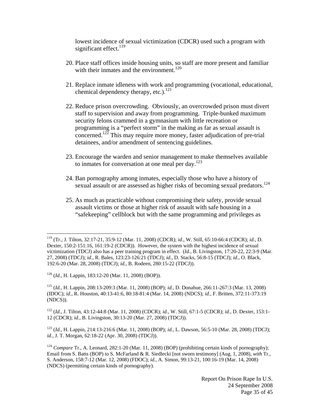lowest incidence of sexual victimization (CDCR) used such a program with significant effect. $119$ 

- 20. Place staff offices inside housing units, so staff are more present and familiar with their inmates and the environment.<sup>120</sup>
- 21. Replace inmate idleness with work and programming (vocational, educational, chemical dependency therapy, etc.).<sup>121</sup>
- 22. Reduce prison overcrowding. Obviously, an overcrowded prison must divert staff to supervision and away from programming. Triple-bunked maximum security felons crammed in a gymnasium with little recreation or programming is a "perfect storm" in the making as far as sexual assault is concerned.<sup>122</sup> This may require more money, faster adjudication of pre-trial detainees, and/or amendment of sentencing guidelines.
- 23. Encourage the warden and senior management to make themselves available to inmates for conversation at one meal per day.<sup>123</sup>
- 24. Ban pornography among inmates, especially those who have a history of sexual assault or are assessed as higher risks of becoming sexual predators.<sup>124</sup>
- 25. As much as practicable without compromising their safety, provide sexual assault victims or those at higher risk of assault with safe housing in a "safekeeping" cellblock but with the same programming and privileges as

120 (*Id.*, H. Lappin, 183:12-20 (Mar. 11, 2008) (BOP)).

1

121 (*Id.*, H. Lappin, 208:13-209:3 (Mar. 11, 2008) (BOP); *id.*, D. Donahue, 266:11-267:3 (Mar. 13, 2008) (IDOC); *id.*, R. Houston, 40:13-41:6, 80:18-81:4 (Mar. 14, 2008) (NDCS); *id.*, F. Britten, 372:11-373:19 (NDCS)).

122 (*Id.*, J. Tilton, 43:12-44:8 (Mar. 11, 2008) (CDCR); *id.*, W. Still, 67:1-5 (CDCR); *id.*, D. Dexter, 153:1- 12 (CDCR); *id.*, B. Livingston, 30:13-20 (Mar. 27, 2008) (TDCJ)).

123 (*Id.*, H. Lappin, 214:13-216:6 (Mar. 11, 2008) (BOP); *id.*, L. Dawson, 56:5-10 (Mar. 28, 2008) (TDCJ); *id.*, J. T. Morgan, 62:18-22 (Apr. 30, 2008) (TDCJ)).

<sup>124</sup> *Compare* Tr., A. Leonard, 282:1-20 (Mar. 11, 2008) (BOP) (prohibiting certain kinds of pornography); Email from S. Batts (BOP) to S. McFarland & R. Siedlecki [not sworn testimony] (Aug. 1, 2008), *with* Tr., S. Anderson, 158:7-12 (Mar. 12, 2008) (FDOC); *id.*, A. Simon, 99:13-21, 100:16-19 (Mar. 14, 2008) (NDCS) (permitting certain kinds of pornography).

<sup>119 (</sup>Tr., J. Tilton, 32:17-21, 35:9-12 (Mar. 11, 2008) (CDCR); *id.*, W. Still, 65:10-66:4 (CDCR); *id.*, D. Dexter, 150:2-151:16, 161:19-2 (CDCR)). However, the system with the highest incidence of sexual victimization (TDCJ) also has a peer training program in effect. (*Id.*, B. Livingston, 17:20-22, 22:3-9 (Mar. 27, 2008) (TDCJ); *id.*, R. Bales, 123:23-126:21 (TDCJ); *id.*, D. Stacks, 56:8-15 (TDCJ); *id.*, O. Black, 192:6-20 (Mar. 28, 2008) (TDCJ); *id.*, B. Rodeen, 280:15-22 (TDCJ)).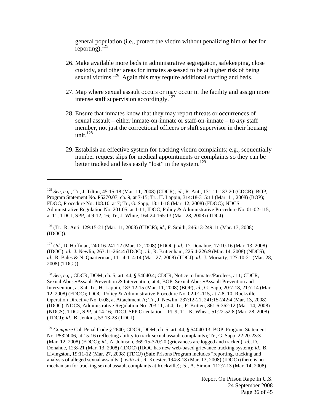general population (i.e., protect the victim without penalizing him or her for reporting). $^{125}$ 

- 26. Make available more beds in administrative segregation, safekeeping, close custody, and other areas for inmates assessed to be at higher risk of being sexual victims.<sup>126</sup> Again this may require additional staffing and beds.
- 27. Map where sexual assault occurs or may occur in the facility and assign more intense staff supervision accordingly.<sup>127</sup>
- 28. Ensure that inmates know that they may report threats or occurrences of sexual assault – either inmate-on-inmate or staff-on-inmate – to *any* staff member, not just the correctional officers or shift supervisor in their housing unit. $128$
- 29. Establish an effective system for tracking victim complaints; e.g., sequentially number request slips for medical appointments or complaints so they can be better tracked and less easily "lost" in the system.<sup>129</sup>

126 (Tr., R. Anti, 129:15-21 (Mar. 11, 2008) (CDCR); *id.*, F. Smith, 246:13-249:11 (Mar. 13, 2008) (IDOC)).

 $\overline{a}$ 

127 (*Id.*, D. Hoffman, 240:16-241:12 (Mar. 12, 2008) (FDOC); *id.*, D. Donahue, 17:10-16 (Mar. 13, 2008) (IDOC); *id.*, J. Newlin, 263:11-264:4 (IDOC); *id.*, R. Brittenham, 225:4-226:9 (Mar. 14, 2008) (NDCS); *id.*, R. Bales & N. Quarterman, 111:4-114:14 (Mar. 27, 2008) (TDCJ); *id.*, J. Moriarty, 127:10-21 (Mar. 28, 2008) (TDCJ)).

<sup>128</sup> *See, e.g.*, CDCR, DOM, ch. 5, art. 44, § 54040.4; CDCR, Notice to Inmates/Parolees, at 1; CDCR, Sexual Abuse/Assault Prevention & Intervention, at 4; BOP, Sexual Abuse/Assault Prevention and Intervention, at 3-4; Tr., H. Lappin, 183:12-15 (Mar. 11, 2008) (BOP); *id.*, G. Sapp, 20:7-18, 21:7-14 (Mar. 12, 2008) (FDOC); IDOC, Policy & Administrative Procedure No. 02-01-115, at 7-8, 10; Rockville, Operation Directive No. 0-08, at Attachment A; Tr., J. Newlin, 237:12-21, 241:15-242:4 (Mar. 13, 2008) (IDOC); NDCS, Administrative Regulation No. 203.11, at 4; Tr., F. Britten, 361:6-362:12 (Mar. 14, 2008) (NDCS); TDCJ, SPP, at 14-16; TDCJ, SPP Orientation – Pt. 9; Tr., K. Wheat, 51:22-52:8 (Mar. 28, 2008) (TDCJ); *id.*, B. Jenkins, 53:13-23 (TDCJ).

<sup>129</sup> *Compare* Cal. Penal Code § 2640; CDCR, DOM, ch. 5. art. 44, § 54040.13; BOP, Program Statement No. P5324.06, at 15-16 (reflecting ability to track sexual assault complaints); Tr., G. Sapp, 22:20-23:3 (Mar. 12, 2008) (FDOC); *id.*, A. Johnson, 369:15-370:20 (grievances are logged and tracked); *id.*, D. Donahue, 12:8-21 (Mar. 13, 2008) (IDOC) (IDOC has new web-based grievance tracking system); *id.*, B. Livingston, 19:11-12 (Mar. 27, 2008) (TDCJ) (Safe Prisons Program includes "reporting, tracking and analysis of alleged sexual assaults"), *with id.*, R. Koester, 194:8-18 (Mar. 13, 2008) (IDOC) (there is no mechanism for tracking sexual assault complaints at Rockville); *id.*, A. Simon, 112:7-13 (Mar. 14, 2008)

<sup>125</sup> *See, e.g.*, Tr., J. Tilton, 45:15-18 (Mar. 11, 2008) (CDCR); *id.*, R. Anti, 131:11-133:20 (CDCR); BOP, Program Statement No. P5270.07, ch. 9, at 7-15; Tr., H. Lappin, 314:18-315:11 (Mar. 11, 2008) (BOP); FDOC, Procedure No. 108.10, at 7; Tr., G. Sapp, 18:11-18 (Mar. 12, 2008) (FDOC); NDCS, Administrative Regulation No. 201.05, at 1-11; IDOC, Policy & Administrative Procedure No. 01-02-115, at 11; TDCJ, SPP, at 9-12, 16; Tr., J. White, 164:24-165:13 (Mar. 28, 2008) (TDCJ).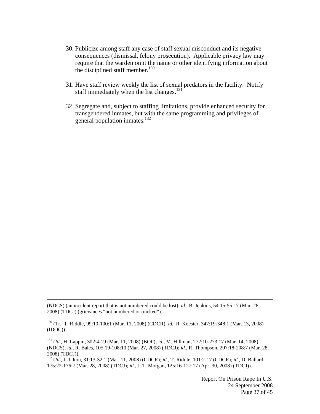- 30. Publicize among staff any case of staff sexual misconduct and its negative consequences (dismissal, felony prosecution). Applicable privacy law may require that the warden omit the name or other identifying information about the disciplined staff member.<sup>130</sup>
- 31. Have staff review weekly the list of sexual predators in the facility. Notify staff immediately when the list changes.<sup>131</sup>
- 32. Segregate and, subject to staffing limitations, provide enhanced security for transgendered inmates, but with the same programming and privileges of general population inmates.<sup>132</sup>

(NDCS) (an incident report that is not numbered could be lost); *id.*, B. Jenkins, 54:15-55:17 (Mar. 28, 2008) (TDCJ) (grievances "not numbered or tracked").

 $\overline{a}$ 

130 (Tr., T. Riddle, 99:10-100:1 (Mar. 11, 2008) (CDCR); *id.*, R. Koester, 347:19-348:1 (Mar. 13, 2008) (IDOC)).

131 (*Id.*, H. Lappin, 302:4-19 (Mar. 11, 2008) (BOP); *id.*, M. Hillman, 272:10-273:17 (Mar. 14, 2008) (NDCS); *id.*, R. Bales, 105:19-108:10 (Mar. 27, 2008) (TDCJ); *id.*, R. Thompson, 207:18-208:7 (Mar. 28, 2008) (TDCJ)).

132 (*Id.*, J. Tilton, 31:13-32:1 (Mar. 11, 2008) (CDCR); *id.*, T. Riddle, 101:2-17 (CDCR); *id.*, D. Ballard, 175:22-176:7 (Mar. 28, 2008) (TDCJ); *id.*, J. T. Morgan, 125:16-127:17 (Apr. 30, 2008) (TDCJ)).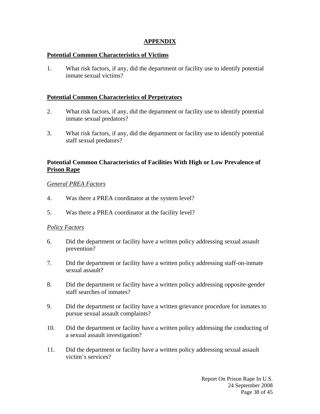## **APPENDIX**

## **Potential Common Characteristics of Victims**

1. What risk factors, if any, did the department or facility use to identify potential inmate sexual victims?

## **Potential Common Characteristics of Perpetrators**

- 2. What risk factors, if any, did the department or facility use to identify potential inmate sexual predators?
- 3. What risk factors, if any, did the department or facility use to identify potential staff sexual predators?

## **Potential Common Characteristics of Facilities With High or Low Prevalence of Prison Rape**

## *General PREA Factors*

- 4. Was there a PREA coordinator at the system level?
- 5. Was there a PREA coordinator at the facility level?

#### *Policy Factors*

- 6. Did the department or facility have a written policy addressing sexual assault prevention?
- 7. Did the department or facility have a written policy addressing staff-on-inmate sexual assault?
- 8. Did the department or facility have a written policy addressing opposite-gender staff searches of inmates?
- 9. Did the department or facility have a written grievance procedure for inmates to pursue sexual assault complaints?
- 10. Did the department or facility have a written policy addressing the conducting of a sexual assault investigation?
- 11. Did the department or facility have a written policy addressing sexual assault victim's services?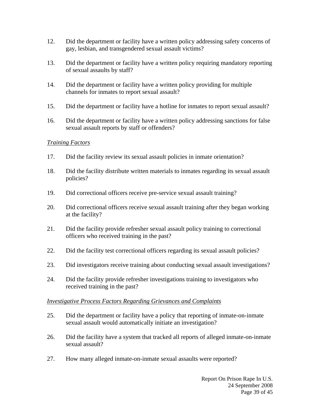- 12. Did the department or facility have a written policy addressing safety concerns of gay, lesbian, and transgendered sexual assault victims?
- 13. Did the department or facility have a written policy requiring mandatory reporting of sexual assaults by staff?
- 14. Did the department or facility have a written policy providing for multiple channels for inmates to report sexual assault?
- 15. Did the department or facility have a hotline for inmates to report sexual assault?
- 16. Did the department or facility have a written policy addressing sanctions for false sexual assault reports by staff or offenders?

## *Training Factors*

- 17. Did the facility review its sexual assault policies in inmate orientation?
- 18. Did the facility distribute written materials to inmates regarding its sexual assault policies?
- 19. Did correctional officers receive pre-service sexual assault training?
- 20. Did correctional officers receive sexual assault training after they began working at the facility?
- 21. Did the facility provide refresher sexual assault policy training to correctional officers who received training in the past?
- 22. Did the facility test correctional officers regarding its sexual assault policies?
- 23. Did investigators receive training about conducting sexual assault investigations?
- 24. Did the facility provide refresher investigations training to investigators who received training in the past?

#### *Investigative Process Factors Regarding Grievances and Complaints*

- 25. Did the department or facility have a policy that reporting of inmate-on-inmate sexual assault would automatically initiate an investigation?
- 26. Did the facility have a system that tracked all reports of alleged inmate-on-inmate sexual assault?
- 27. How many alleged inmate-on-inmate sexual assaults were reported?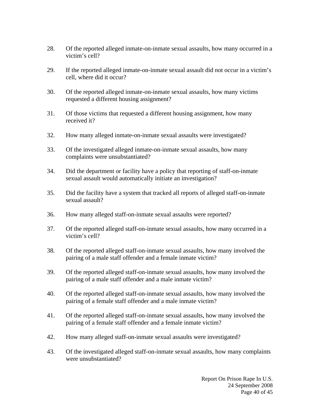- 28. Of the reported alleged inmate-on-inmate sexual assaults, how many occurred in a victim's cell?
- 29. If the reported alleged inmate-on-inmate sexual assault did not occur in a victim's cell, where did it occur?
- 30. Of the reported alleged inmate-on-inmate sexual assaults, how many victims requested a different housing assignment?
- 31. Of those victims that requested a different housing assignment, how many received it?
- 32. How many alleged inmate-on-inmate sexual assaults were investigated?
- 33. Of the investigated alleged inmate-on-inmate sexual assaults, how many complaints were unsubstantiated?
- 34. Did the department or facility have a policy that reporting of staff-on-inmate sexual assault would automatically initiate an investigation?
- 35. Did the facility have a system that tracked all reports of alleged staff-on-inmate sexual assault?
- 36. How many alleged staff-on-inmate sexual assaults were reported?
- 37. Of the reported alleged staff-on-inmate sexual assaults, how many occurred in a victim's cell?
- 38. Of the reported alleged staff-on-inmate sexual assaults, how many involved the pairing of a male staff offender and a female inmate victim?
- 39. Of the reported alleged staff-on-inmate sexual assaults, how many involved the pairing of a male staff offender and a male inmate victim?
- 40. Of the reported alleged staff-on-inmate sexual assaults, how many involved the pairing of a female staff offender and a male inmate victim?
- 41. Of the reported alleged staff-on-inmate sexual assaults, how many involved the pairing of a female staff offender and a female inmate victim?
- 42. How many alleged staff-on-inmate sexual assaults were investigated?
- 43. Of the investigated alleged staff-on-inmate sexual assaults, how many complaints were unsubstantiated?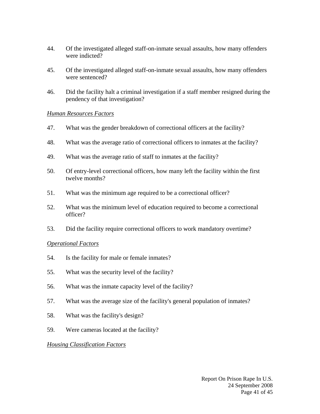- 44. Of the investigated alleged staff-on-inmate sexual assaults, how many offenders were indicted?
- 45. Of the investigated alleged staff-on-inmate sexual assaults, how many offenders were sentenced?
- 46. Did the facility halt a criminal investigation if a staff member resigned during the pendency of that investigation?

## *Human Resources Factors*

- 47. What was the gender breakdown of correctional officers at the facility?
- 48. What was the average ratio of correctional officers to inmates at the facility?
- 49. What was the average ratio of staff to inmates at the facility?
- 50. Of entry-level correctional officers, how many left the facility within the first twelve months?
- 51. What was the minimum age required to be a correctional officer?
- 52. What was the minimum level of education required to become a correctional officer?
- 53. Did the facility require correctional officers to work mandatory overtime?

## *Operational Factors*

- 54. Is the facility for male or female inmates?
- 55. What was the security level of the facility?
- 56. What was the inmate capacity level of the facility?
- 57. What was the average size of the facility's general population of inmates?
- 58. What was the facility's design?
- 59. Were cameras located at the facility?

## *Housing Classification Factors*